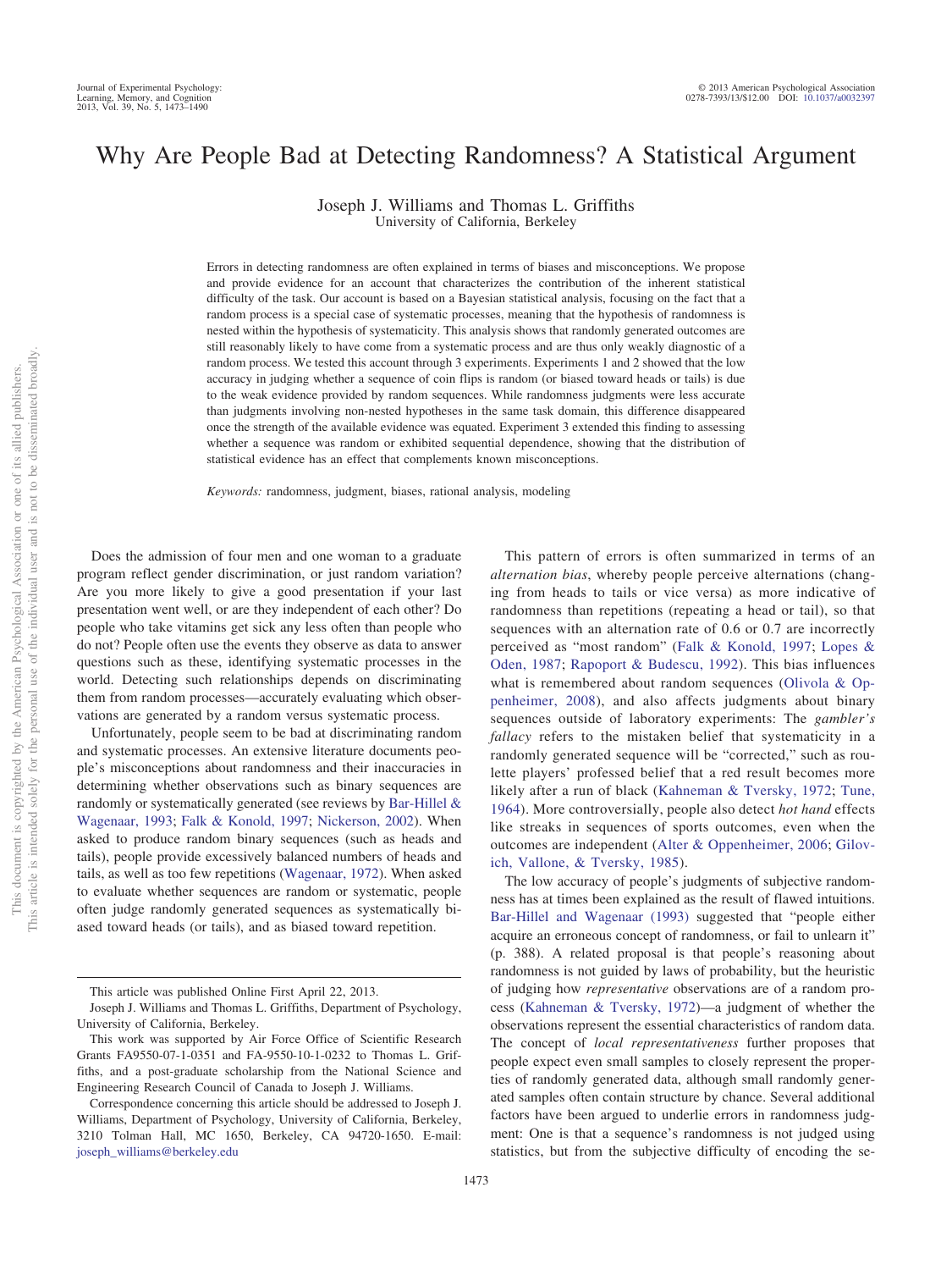# Why Are People Bad at Detecting Randomness? A Statistical Argument

Joseph J. Williams and Thomas L. Griffiths University of California, Berkeley

Errors in detecting randomness are often explained in terms of biases and misconceptions. We propose and provide evidence for an account that characterizes the contribution of the inherent statistical difficulty of the task. Our account is based on a Bayesian statistical analysis, focusing on the fact that a random process is a special case of systematic processes, meaning that the hypothesis of randomness is nested within the hypothesis of systematicity. This analysis shows that randomly generated outcomes are still reasonably likely to have come from a systematic process and are thus only weakly diagnostic of a random process. We tested this account through 3 experiments. Experiments 1 and 2 showed that the low accuracy in judging whether a sequence of coin flips is random (or biased toward heads or tails) is due to the weak evidence provided by random sequences. While randomness judgments were less accurate than judgments involving non-nested hypotheses in the same task domain, this difference disappeared once the strength of the available evidence was equated. Experiment 3 extended this finding to assessing whether a sequence was random or exhibited sequential dependence, showing that the distribution of statistical evidence has an effect that complements known misconceptions.

*Keywords:* randomness, judgment, biases, rational analysis, modeling

Does the admission of four men and one woman to a graduate program reflect gender discrimination, or just random variation? Are you more likely to give a good presentation if your last presentation went well, or are they independent of each other? Do people who take vitamins get sick any less often than people who do not? People often use the events they observe as data to answer questions such as these, identifying systematic processes in the world. Detecting such relationships depends on discriminating them from random processes—accurately evaluating which observations are generated by a random versus systematic process.

Unfortunately, people seem to be bad at discriminating random and systematic processes. An extensive literature documents people's misconceptions about randomness and their inaccuracies in determining whether observations such as binary sequences are randomly or systematically generated (see reviews by [Bar-Hillel &](#page-14-0) [Wagenaar, 1993;](#page-14-0) [Falk & Konold, 1997;](#page-14-1) [Nickerson, 2002\)](#page-14-2). When asked to produce random binary sequences (such as heads and tails), people provide excessively balanced numbers of heads and tails, as well as too few repetitions [\(Wagenaar, 1972\)](#page-15-0). When asked to evaluate whether sequences are random or systematic, people often judge randomly generated sequences as systematically biased toward heads (or tails), and as biased toward repetition.

This pattern of errors is often summarized in terms of an *alternation bias*, whereby people perceive alternations (changing from heads to tails or vice versa) as more indicative of randomness than repetitions (repeating a head or tail), so that sequences with an alternation rate of 0.6 or 0.7 are incorrectly perceived as "most random" [\(Falk & Konold, 1997;](#page-14-1) [Lopes &](#page-14-3) [Oden, 1987;](#page-14-3) [Rapoport & Budescu, 1992\)](#page-14-4). This bias influences what is remembered about random sequences [\(Olivola & Op](#page-14-5)[penheimer, 2008\)](#page-14-5), and also affects judgments about binary sequences outside of laboratory experiments: The *gambler's fallacy* refers to the mistaken belief that systematicity in a randomly generated sequence will be "corrected," such as roulette players' professed belief that a red result becomes more likely after a run of black [\(Kahneman & Tversky, 1972;](#page-14-6) [Tune,](#page-15-1) [1964\)](#page-15-1). More controversially, people also detect *hot hand* effects like streaks in sequences of sports outcomes, even when the outcomes are independent [\(Alter & Oppenheimer, 2006;](#page-14-7) [Gilov](#page-14-8)[ich, Vallone, & Tversky, 1985\)](#page-14-8).

The low accuracy of people's judgments of subjective randomness has at times been explained as the result of flawed intuitions. [Bar-Hillel and Wagenaar \(1993\)](#page-14-0) suggested that "people either acquire an erroneous concept of randomness, or fail to unlearn it" (p. 388). A related proposal is that people's reasoning about randomness is not guided by laws of probability, but the heuristic of judging how *representative* observations are of a random process [\(Kahneman & Tversky, 1972\)](#page-14-6)—a judgment of whether the observations represent the essential characteristics of random data. The concept of *local representativeness* further proposes that people expect even small samples to closely represent the properties of randomly generated data, although small randomly generated samples often contain structure by chance. Several additional factors have been argued to underlie errors in randomness judgment: One is that a sequence's randomness is not judged using statistics, but from the subjective difficulty of encoding the se-

This article was published Online First April 22, 2013.

Joseph J. Williams and Thomas L. Griffiths, Department of Psychology, University of California, Berkeley.

This work was supported by Air Force Office of Scientific Research Grants FA9550-07-1-0351 and FA-9550-10-1-0232 to Thomas L. Griffiths, and a post-graduate scholarship from the National Science and Engineering Research Council of Canada to Joseph J. Williams.

Correspondence concerning this article should be addressed to Joseph J. Williams, Department of Psychology, University of California, Berkeley, 3210 Tolman Hall, MC 1650, Berkeley, CA 94720-1650. E-mail: [joseph\\_williams@berkeley.edu](mailto:joseph_williams@berkeley.edu)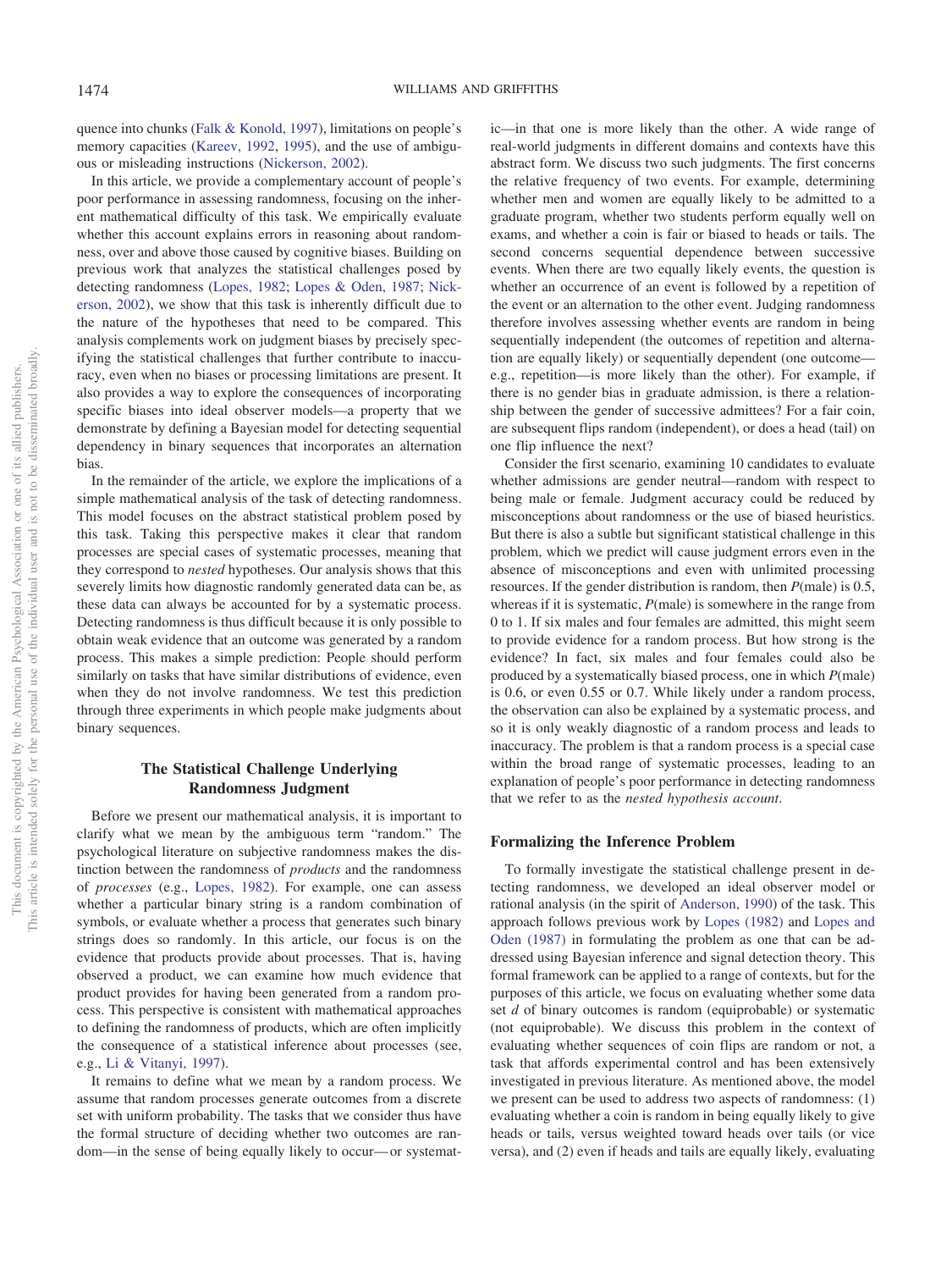quence into chunks [\(Falk & Konold, 1997\)](#page-14-1), limitations on people's memory capacities [\(Kareev, 1992,](#page-14-9) [1995\)](#page-14-10), and the use of ambiguous or misleading instructions [\(Nickerson, 2002\)](#page-14-2).

In this article, we provide a complementary account of people's poor performance in assessing randomness, focusing on the inherent mathematical difficulty of this task. We empirically evaluate whether this account explains errors in reasoning about randomness, over and above those caused by cognitive biases. Building on previous work that analyzes the statistical challenges posed by detecting randomness [\(Lopes, 1982;](#page-14-11) [Lopes & Oden, 1987;](#page-14-3) [Nick](#page-14-2)[erson, 2002\)](#page-14-2), we show that this task is inherently difficult due to the nature of the hypotheses that need to be compared. This analysis complements work on judgment biases by precisely specifying the statistical challenges that further contribute to inaccuracy, even when no biases or processing limitations are present. It also provides a way to explore the consequences of incorporating specific biases into ideal observer models—a property that we demonstrate by defining a Bayesian model for detecting sequential dependency in binary sequences that incorporates an alternation bias.

In the remainder of the article, we explore the implications of a simple mathematical analysis of the task of detecting randomness. This model focuses on the abstract statistical problem posed by this task. Taking this perspective makes it clear that random processes are special cases of systematic processes, meaning that they correspond to *nested* hypotheses. Our analysis shows that this severely limits how diagnostic randomly generated data can be, as these data can always be accounted for by a systematic process. Detecting randomness is thus difficult because it is only possible to obtain weak evidence that an outcome was generated by a random process. This makes a simple prediction: People should perform similarly on tasks that have similar distributions of evidence, even when they do not involve randomness. We test this prediction through three experiments in which people make judgments about binary sequences.

### **The Statistical Challenge Underlying Randomness Judgment**

Before we present our mathematical analysis, it is important to clarify what we mean by the ambiguous term "random." The psychological literature on subjective randomness makes the distinction between the randomness of *products* and the randomness of *processes* (e.g., [Lopes, 1982\)](#page-14-11). For example, one can assess whether a particular binary string is a random combination of symbols, or evaluate whether a process that generates such binary strings does so randomly. In this article, our focus is on the evidence that products provide about processes. That is, having observed a product, we can examine how much evidence that product provides for having been generated from a random process. This perspective is consistent with mathematical approaches to defining the randomness of products, which are often implicitly the consequence of a statistical inference about processes (see, e.g., [Li & Vitanyi, 1997\)](#page-14-12).

It remains to define what we mean by a random process. We assume that random processes generate outcomes from a discrete set with uniform probability. The tasks that we consider thus have the formal structure of deciding whether two outcomes are random—in the sense of being equally likely to occur— or systematic—in that one is more likely than the other. A wide range of real-world judgments in different domains and contexts have this abstract form. We discuss two such judgments. The first concerns the relative frequency of two events. For example, determining whether men and women are equally likely to be admitted to a graduate program, whether two students perform equally well on exams, and whether a coin is fair or biased to heads or tails. The second concerns sequential dependence between successive events. When there are two equally likely events, the question is whether an occurrence of an event is followed by a repetition of the event or an alternation to the other event. Judging randomness therefore involves assessing whether events are random in being sequentially independent (the outcomes of repetition and alternation are equally likely) or sequentially dependent (one outcome e.g., repetition—is more likely than the other). For example, if there is no gender bias in graduate admission, is there a relationship between the gender of successive admittees? For a fair coin, are subsequent flips random (independent), or does a head (tail) on one flip influence the next?

Consider the first scenario, examining 10 candidates to evaluate whether admissions are gender neutral—random with respect to being male or female. Judgment accuracy could be reduced by misconceptions about randomness or the use of biased heuristics. But there is also a subtle but significant statistical challenge in this problem, which we predict will cause judgment errors even in the absence of misconceptions and even with unlimited processing resources. If the gender distribution is random, then *P*(male) is 0.5, whereas if it is systematic, *P*(male) is somewhere in the range from 0 to 1. If six males and four females are admitted, this might seem to provide evidence for a random process. But how strong is the evidence? In fact, six males and four females could also be produced by a systematically biased process, one in which *P*(male) is 0.6, or even 0.55 or 0.7. While likely under a random process, the observation can also be explained by a systematic process, and so it is only weakly diagnostic of a random process and leads to inaccuracy. The problem is that a random process is a special case within the broad range of systematic processes, leading to an explanation of people's poor performance in detecting randomness that we refer to as the *nested hypothesis account*.

### **Formalizing the Inference Problem**

To formally investigate the statistical challenge present in detecting randomness, we developed an ideal observer model or rational analysis (in the spirit of [Anderson, 1990\)](#page-14-13) of the task. This approach follows previous work by [Lopes \(1982\)](#page-14-11) and [Lopes and](#page-14-3) [Oden \(1987\)](#page-14-3) in formulating the problem as one that can be addressed using Bayesian inference and signal detection theory. This formal framework can be applied to a range of contexts, but for the purposes of this article, we focus on evaluating whether some data set *d* of binary outcomes is random (equiprobable) or systematic (not equiprobable). We discuss this problem in the context of evaluating whether sequences of coin flips are random or not, a task that affords experimental control and has been extensively investigated in previous literature. As mentioned above, the model we present can be used to address two aspects of randomness: (1) evaluating whether a coin is random in being equally likely to give heads or tails, versus weighted toward heads over tails (or vice versa), and (2) even if heads and tails are equally likely, evaluating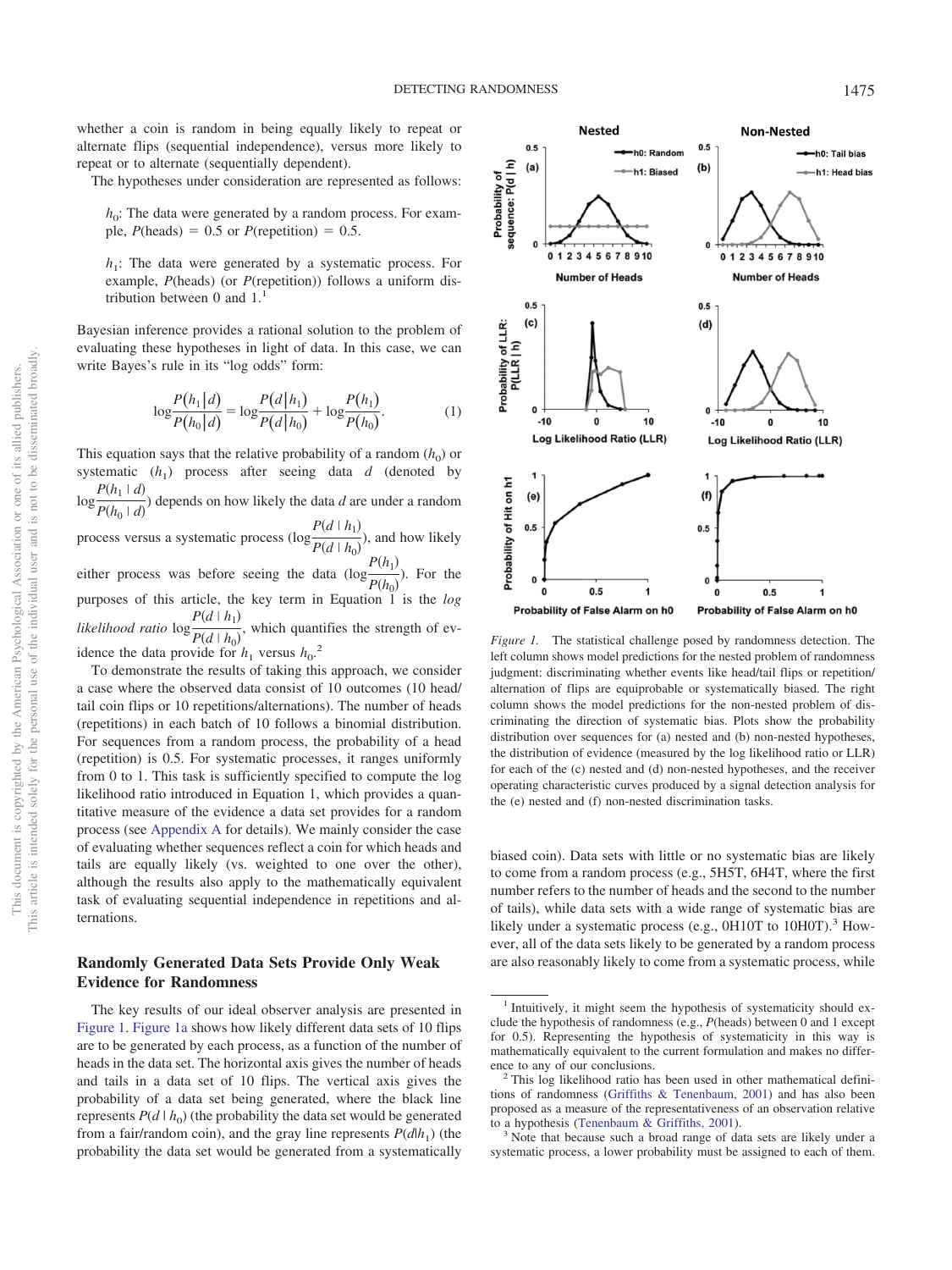**Nested** 

whether a coin is random in being equally likely to repeat or alternate flips (sequential independence), versus more likely to repeat or to alternate (sequentially dependent).

The hypotheses under consideration are represented as follows:

 $h<sub>0</sub>$ : The data were generated by a random process. For example,  $P(\text{heads}) = 0.5$  or  $P(\text{repetition}) = 0.5$ .

 $h_1$ : The data were generated by a systematic process. For example, *P*(heads) (or *P*(repetition)) follows a uniform distribution between 0 and 1.<sup>1</sup>

Bayesian inference provides a rational solution to the problem of evaluating these hypotheses in light of data. In this case, we can write Bayes's rule in its "log odds" form:

$$
\log \frac{P(h_1|d)}{P(h_0|d)} = \log \frac{P(d|h_1)}{P(d|h_0)} + \log \frac{P(h_1)}{P(h_0)}.
$$
 (1)

This equation says that the relative probability of a random  $(h_0)$  or systematic  $(h_1)$  process after seeing data *d* (denoted by  $\frac{P(h_1 \mid d)}{\log \frac{P(h_1 \mid d)}{P(h_1 \mid d)}}$  depends on how likely the data *d* are under a random  $P(h_0 \mid d)$ process versus a systematic process  $(\log \frac{P(d \mid h_1)}{P(d \mid h_0)})$ , and how likely either process was before seeing the data  $(\log \frac{P(h_0)}{P(h_0)})$ . For the  $P(h_1)$ purposes of this article, the key term in Equation 1 is the *log likelihood ratio*  $\log \frac{P(d \mid h_1)}{P(d \mid h_0)}$ , which quantifies the strength of evidence the data provide for  $h_1$  versus  $h_0$ <sup>2</sup>.

To demonstrate the results of taking this approach, we consider a case where the observed data consist of 10 outcomes (10 head/ tail coin flips or 10 repetitions/alternations). The number of heads (repetitions) in each batch of 10 follows a binomial distribution. For sequences from a random process, the probability of a head (repetition) is 0.5. For systematic processes, it ranges uniformly from 0 to 1. This task is sufficiently specified to compute the log likelihood ratio introduced in Equation 1, which provides a quantitative measure of the evidence a data set provides for a random process (see Appendix A for details). We mainly consider the case of evaluating whether sequences reflect a coin for which heads and tails are equally likely (vs. weighted to one over the other), although the results also apply to the mathematically equivalent task of evaluating sequential independence in repetitions and alternations.

# **Randomly Generated Data Sets Provide Only Weak Evidence for Randomness**

The key results of our ideal observer analysis are presented in [Figure 1.](#page-2-0) [Figure 1a](#page-2-0) shows how likely different data sets of 10 flips are to be generated by each process, as a function of the number of heads in the data set. The horizontal axis gives the number of heads and tails in a data set of 10 flips. The vertical axis gives the probability of a data set being generated, where the black line represents  $P(d | h_0)$  (the probability the data set would be generated from a fair/random coin), and the gray line represents  $P(d|h_1)$  (the probability the data set would be generated from a systematically

 $0.5$  $0.5$  $(c)$ Probability of LLR:<br>P(LLR | h)  $(d)$ o  $\mathbf{0}$  $-10$  $10$  $\Omega$  $-10$ n  $10$ Log Likelihood Ratio (LLR) Log Likelihood Ratio (LLR) Probability of Hit on h1  $(f)$  $(e)$  $0.5$  $0.5$  $0.5$ 1  $0.5$  $\mathbf{1}$ Probability of False Alarm on h0 Probability of False Alarm on h0 *Figure 1.* The statistical challenge posed by randomness detection. The left column shows model predictions for the nested problem of randomness judgment: discriminating whether events like head/tail flips or repetition/ alternation of flips are equiprobable or systematically biased. The right column shows the model predictions for the non-nested problem of discriminating the direction of systematic bias. Plots show the probability distribution over sequences for (a) nested and (b) non-nested hypotheses, the distribution of evidence (measured by the log likelihood ratio or LLR)

biased coin). Data sets with little or no systematic bias are likely to come from a random process (e.g., 5H5T, 6H4T, where the first number refers to the number of heads and the second to the number of tails), while data sets with a wide range of systematic bias are likely under a systematic process (e.g.,  $0H10T$  to  $10H0T$ ).<sup>3</sup> However, all of the data sets likely to be generated by a random process are also reasonably likely to come from a systematic process, while

<span id="page-2-0"></span>for each of the (c) nested and (d) non-nested hypotheses, and the receiver operating characteristic curves produced by a signal detection analysis for

the (e) nested and (f) non-nested discrimination tasks.



**Non-Nested** 

 $1$  Intuitively, it might seem the hypothesis of systematicity should exclude the hypothesis of randomness (e.g., *P*(heads) between 0 and 1 except for 0.5). Representing the hypothesis of systematicity in this way is mathematically equivalent to the current formulation and makes no difference to any of our conclusions.<br><sup>2</sup> This log likelihood ratio has been used in other mathematical defini-

tions of randomness [\(Griffiths & Tenenbaum, 2001\)](#page-14-14) and has also been proposed as a measure of the representativeness of an observation relative to a hypothesis [\(Tenenbaum & Griffiths, 2001\)](#page-14-15).  $3$  Note that because such a broad range of data sets are likely under a

systematic process, a lower probability must be assigned to each of them.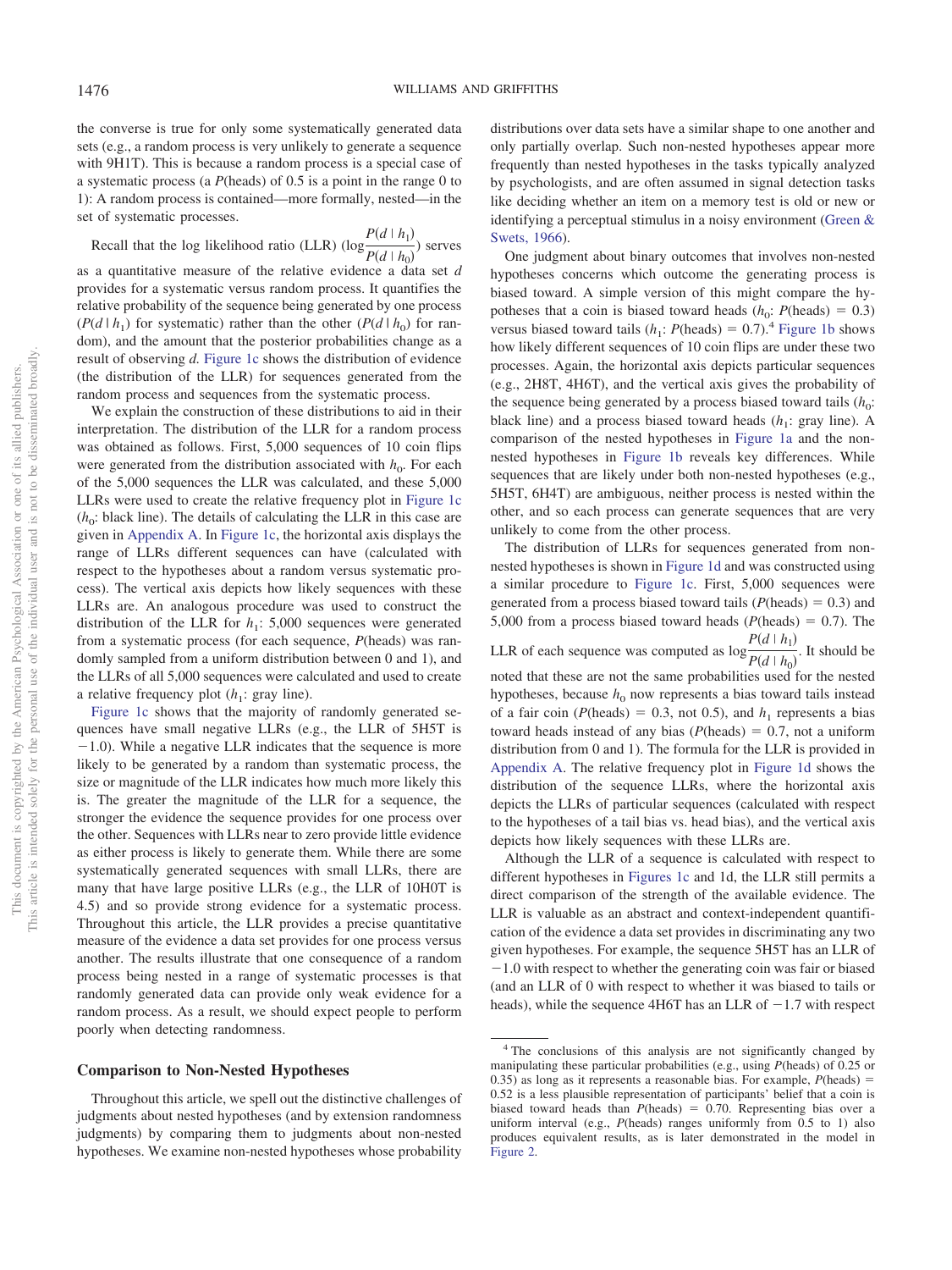the converse is true for only some systematically generated data sets (e.g., a random process is very unlikely to generate a sequence with 9H1T). This is because a random process is a special case of a systematic process (a *P*(heads) of 0.5 is a point in the range 0 to 1): A random process is contained—more formally, nested—in the set of systematic processes.

Recall that the log likelihood ratio (LLR)  $(\log \frac{P(d \mid h_1)}{P(d \mid h_0)})$  serves as a quantitative measure of the relative evidence a data set *d* provides for a systematic versus random process. It quantifies the relative probability of the sequence being generated by one process  $(P(d | h_1)$  for systematic) rather than the other  $(P(d | h_0)$  for random), and the amount that the posterior probabilities change as a result of observing *d.* [Figure 1c](#page-2-0) shows the distribution of evidence (the distribution of the LLR) for sequences generated from the random process and sequences from the systematic process.

We explain the construction of these distributions to aid in their interpretation. The distribution of the LLR for a random process was obtained as follows. First, 5,000 sequences of 10 coin flips were generated from the distribution associated with  $h_0$ . For each of the 5,000 sequences the LLR was calculated, and these 5,000 LLRs were used to create the relative frequency plot in [Figure 1c](#page-2-0)  $(h_0:$  black line). The details of calculating the LLR in this case are given in Appendix A. In [Figure 1c,](#page-2-0) the horizontal axis displays the range of LLRs different sequences can have (calculated with respect to the hypotheses about a random versus systematic process). The vertical axis depicts how likely sequences with these LLRs are. An analogous procedure was used to construct the distribution of the LLR for  $h_1$ : 5,000 sequences were generated from a systematic process (for each sequence, *P*(heads) was randomly sampled from a uniform distribution between 0 and 1), and the LLRs of all 5,000 sequences were calculated and used to create a relative frequency plot  $(h_1: \text{gray line}).$ 

[Figure 1c](#page-2-0) shows that the majority of randomly generated sequences have small negative LLRs (e.g., the LLR of 5H5T is -1.0). While a negative LLR indicates that the sequence is more likely to be generated by a random than systematic process, the size or magnitude of the LLR indicates how much more likely this is. The greater the magnitude of the LLR for a sequence, the stronger the evidence the sequence provides for one process over the other. Sequences with LLRs near to zero provide little evidence as either process is likely to generate them. While there are some systematically generated sequences with small LLRs, there are many that have large positive LLRs (e.g., the LLR of 10H0T is 4.5) and so provide strong evidence for a systematic process. Throughout this article, the LLR provides a precise quantitative measure of the evidence a data set provides for one process versus another. The results illustrate that one consequence of a random process being nested in a range of systematic processes is that randomly generated data can provide only weak evidence for a random process. As a result, we should expect people to perform poorly when detecting randomness.

#### **Comparison to Non-Nested Hypotheses**

Throughout this article, we spell out the distinctive challenges of judgments about nested hypotheses (and by extension randomness judgments) by comparing them to judgments about non-nested hypotheses. We examine non-nested hypotheses whose probability

distributions over data sets have a similar shape to one another and only partially overlap. Such non-nested hypotheses appear more frequently than nested hypotheses in the tasks typically analyzed by psychologists, and are often assumed in signal detection tasks like deciding whether an item on a memory test is old or new or identifying a perceptual stimulus in a noisy environment [\(Green &](#page-14-16) [Swets, 1966\)](#page-14-16).

One judgment about binary outcomes that involves non-nested hypotheses concerns which outcome the generating process is biased toward. A simple version of this might compare the hypotheses that a coin is biased toward heads  $(h_0: P(\text{heads}) = 0.3)$ versus biased toward tails  $(h_1: P(\text{heads}) = 0.7)$ .<sup>4</sup> [Figure 1b](#page-2-0) shows how likely different sequences of 10 coin flips are under these two processes. Again, the horizontal axis depicts particular sequences (e.g., 2H8T, 4H6T), and the vertical axis gives the probability of the sequence being generated by a process biased toward tails  $(h_0:$ black line) and a process biased toward heads  $(h_1: \text{gray line})$ . A comparison of the nested hypotheses in [Figure 1a](#page-2-0) and the nonnested hypotheses in [Figure 1b](#page-2-0) reveals key differences. While sequences that are likely under both non-nested hypotheses (e.g., 5H5T, 6H4T) are ambiguous, neither process is nested within the other, and so each process can generate sequences that are very unlikely to come from the other process.

The distribution of LLRs for sequences generated from nonnested hypotheses is shown in [Figure 1d](#page-2-0) and was constructed using a similar procedure to [Figure 1c.](#page-2-0) First, 5,000 sequences were generated from a process biased toward tails ( $P(\text{heads}) = 0.3$ ) and 5,000 from a process biased toward heads ( $P(\text{heads}) = 0.7$ ). The LLR of each sequence was computed as  $\log \frac{P(d \mid h_1)}{P(d \mid h_0)}$ . It should be noted that these are not the same probabilities used for the nested hypotheses, because  $h_0$  now represents a bias toward tails instead of a fair coin ( $P(\text{heads}) = 0.3$ , not 0.5), and  $h_1$  represents a bias toward heads instead of any bias  $(P(\text{heads}) = 0.7, \text{ not a uniform})$ distribution from 0 and 1). The formula for the LLR is provided in Appendix A. The relative frequency plot in [Figure 1d](#page-2-0) shows the distribution of the sequence LLRs, where the horizontal axis depicts the LLRs of particular sequences (calculated with respect to the hypotheses of a tail bias vs. head bias), and the vertical axis depicts how likely sequences with these LLRs are.

Although the LLR of a sequence is calculated with respect to different hypotheses in [Figures 1c](#page-2-0) and 1d, the LLR still permits a direct comparison of the strength of the available evidence. The LLR is valuable as an abstract and context-independent quantification of the evidence a data set provides in discriminating any two given hypotheses. For example, the sequence 5H5T has an LLR of -1.0 with respect to whether the generating coin was fair or biased (and an LLR of 0 with respect to whether it was biased to tails or heads), while the sequence  $4H6T$  has an LLR of  $-1.7$  with respect

<sup>4</sup> The conclusions of this analysis are not significantly changed by manipulating these particular probabilities (e.g., using *P*(heads) of 0.25 or 0.35) as long as it represents a reasonable bias. For example, *P*(heads) 0.52 is a less plausible representation of participants' belief that a coin is biased toward heads than  $P(\text{heads}) = 0.70$ . Representing bias over a uniform interval (e.g., *P*(heads) ranges uniformly from 0.5 to 1) also produces equivalent results, as is later demonstrated in the model in [Figure 2.](#page-4-0)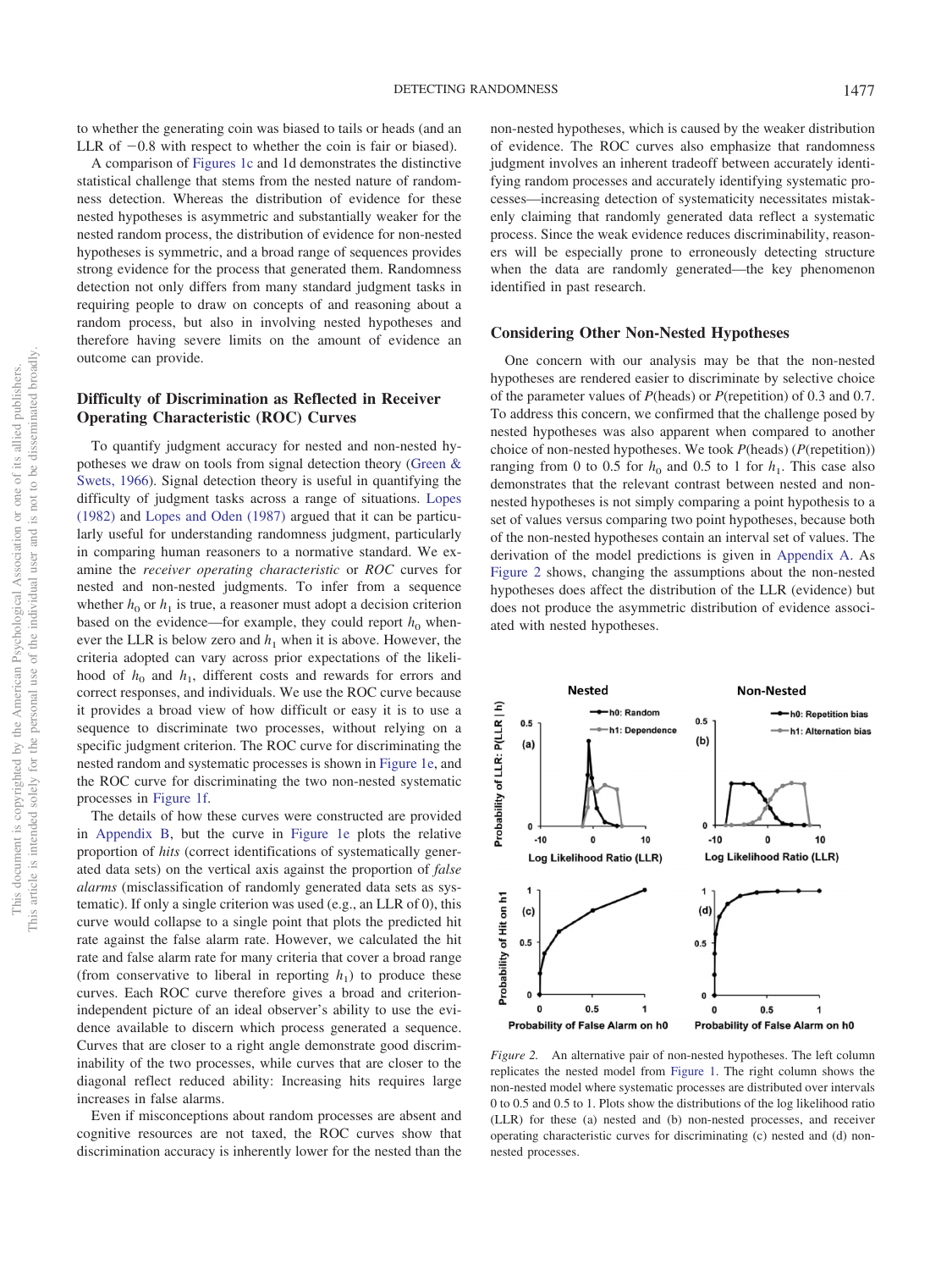to whether the generating coin was biased to tails or heads (and an LLR of  $-0.8$  with respect to whether the coin is fair or biased).

A comparison of [Figures 1c](#page-2-0) and 1d demonstrates the distinctive statistical challenge that stems from the nested nature of randomness detection. Whereas the distribution of evidence for these nested hypotheses is asymmetric and substantially weaker for the nested random process, the distribution of evidence for non-nested hypotheses is symmetric, and a broad range of sequences provides strong evidence for the process that generated them. Randomness detection not only differs from many standard judgment tasks in requiring people to draw on concepts of and reasoning about a random process, but also in involving nested hypotheses and therefore having severe limits on the amount of evidence an outcome can provide.

# **Difficulty of Discrimination as Reflected in Receiver Operating Characteristic (ROC) Curves**

To quantify judgment accuracy for nested and non-nested hypotheses we draw on tools from signal detection theory [\(Green &](#page-14-16) [Swets, 1966\)](#page-14-16). Signal detection theory is useful in quantifying the difficulty of judgment tasks across a range of situations. [Lopes](#page-14-11) [\(1982\)](#page-14-11) and [Lopes and Oden \(1987\)](#page-14-3) argued that it can be particularly useful for understanding randomness judgment, particularly in comparing human reasoners to a normative standard. We examine the *receiver operating characteristic* or *ROC* curves for nested and non-nested judgments. To infer from a sequence whether  $h_0$  or  $h_1$  is true, a reasoner must adopt a decision criterion based on the evidence—for example, they could report  $h_0$  whenever the LLR is below zero and  $h_1$  when it is above. However, the criteria adopted can vary across prior expectations of the likelihood of  $h_0$  and  $h_1$ , different costs and rewards for errors and correct responses, and individuals. We use the ROC curve because it provides a broad view of how difficult or easy it is to use a sequence to discriminate two processes, without relying on a specific judgment criterion. The ROC curve for discriminating the nested random and systematic processes is shown in [Figure 1e,](#page-2-0) and the ROC curve for discriminating the two non-nested systematic processes in [Figure 1f.](#page-2-0)

The details of how these curves were constructed are provided in Appendix B, but the curve in [Figure 1e](#page-2-0) plots the relative proportion of *hits* (correct identifications of systematically generated data sets) on the vertical axis against the proportion of *false alarms* (misclassification of randomly generated data sets as systematic). If only a single criterion was used (e.g., an LLR of 0), this curve would collapse to a single point that plots the predicted hit rate against the false alarm rate. However, we calculated the hit rate and false alarm rate for many criteria that cover a broad range (from conservative to liberal in reporting  $h_1$ ) to produce these curves. Each ROC curve therefore gives a broad and criterionindependent picture of an ideal observer's ability to use the evidence available to discern which process generated a sequence. Curves that are closer to a right angle demonstrate good discriminability of the two processes, while curves that are closer to the diagonal reflect reduced ability: Increasing hits requires large increases in false alarms.

Even if misconceptions about random processes are absent and cognitive resources are not taxed, the ROC curves show that discrimination accuracy is inherently lower for the nested than the

non-nested hypotheses, which is caused by the weaker distribution of evidence. The ROC curves also emphasize that randomness judgment involves an inherent tradeoff between accurately identifying random processes and accurately identifying systematic processes—increasing detection of systematicity necessitates mistakenly claiming that randomly generated data reflect a systematic process. Since the weak evidence reduces discriminability, reasoners will be especially prone to erroneously detecting structure when the data are randomly generated—the key phenomenon identified in past research.

### **Considering Other Non-Nested Hypotheses**

One concern with our analysis may be that the non-nested hypotheses are rendered easier to discriminate by selective choice of the parameter values of *P*(heads) or *P*(repetition) of 0.3 and 0.7. To address this concern, we confirmed that the challenge posed by nested hypotheses was also apparent when compared to another choice of non-nested hypotheses. We took *P*(heads) (*P*(repetition)) ranging from 0 to 0.5 for  $h_0$  and 0.5 to 1 for  $h_1$ . This case also demonstrates that the relevant contrast between nested and nonnested hypotheses is not simply comparing a point hypothesis to a set of values versus comparing two point hypotheses, because both of the non-nested hypotheses contain an interval set of values. The derivation of the model predictions is given in Appendix A. As [Figure 2](#page-4-0) shows, changing the assumptions about the non-nested hypotheses does affect the distribution of the LLR (evidence) but does not produce the asymmetric distribution of evidence associated with nested hypotheses.



<span id="page-4-0"></span>*Figure 2.* An alternative pair of non-nested hypotheses. The left column replicates the nested model from [Figure 1.](#page-2-0) The right column shows the non-nested model where systematic processes are distributed over intervals 0 to 0.5 and 0.5 to 1. Plots show the distributions of the log likelihood ratio (LLR) for these (a) nested and (b) non-nested processes, and receiver operating characteristic curves for discriminating (c) nested and (d) nonnested processes.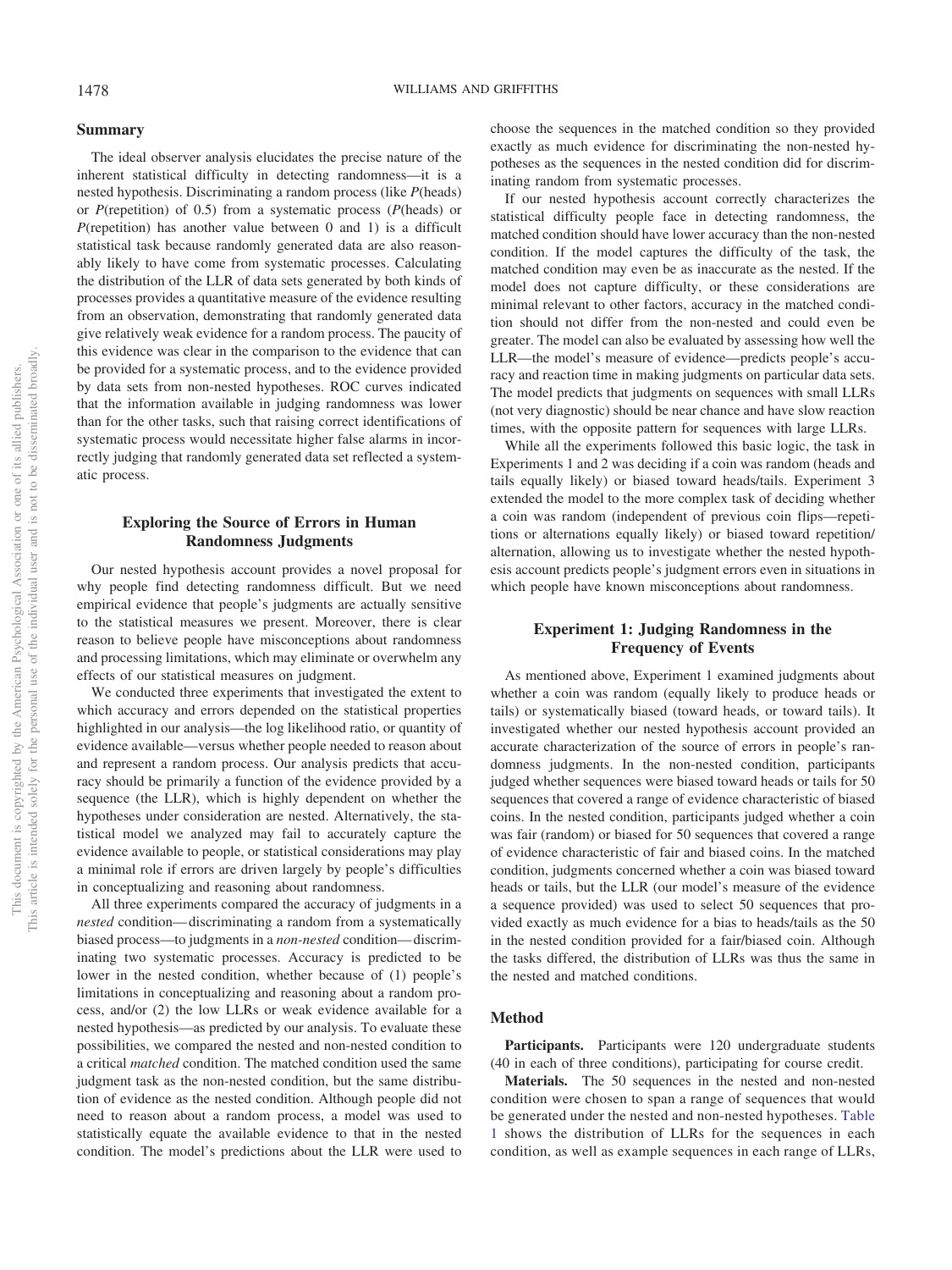### **Summary**

The ideal observer analysis elucidates the precise nature of the inherent statistical difficulty in detecting randomness—it is a nested hypothesis. Discriminating a random process (like *P*(heads) or *P*(repetition) of 0.5) from a systematic process (*P*(heads) or *P*(repetition) has another value between 0 and 1) is a difficult statistical task because randomly generated data are also reasonably likely to have come from systematic processes. Calculating the distribution of the LLR of data sets generated by both kinds of processes provides a quantitative measure of the evidence resulting from an observation, demonstrating that randomly generated data give relatively weak evidence for a random process. The paucity of this evidence was clear in the comparison to the evidence that can be provided for a systematic process, and to the evidence provided by data sets from non-nested hypotheses. ROC curves indicated that the information available in judging randomness was lower than for the other tasks, such that raising correct identifications of systematic process would necessitate higher false alarms in incorrectly judging that randomly generated data set reflected a systematic process.

# **Exploring the Source of Errors in Human Randomness Judgments**

Our nested hypothesis account provides a novel proposal for why people find detecting randomness difficult. But we need empirical evidence that people's judgments are actually sensitive to the statistical measures we present. Moreover, there is clear reason to believe people have misconceptions about randomness and processing limitations, which may eliminate or overwhelm any effects of our statistical measures on judgment.

We conducted three experiments that investigated the extent to which accuracy and errors depended on the statistical properties highlighted in our analysis—the log likelihood ratio, or quantity of evidence available—versus whether people needed to reason about and represent a random process. Our analysis predicts that accuracy should be primarily a function of the evidence provided by a sequence (the LLR), which is highly dependent on whether the hypotheses under consideration are nested. Alternatively, the statistical model we analyzed may fail to accurately capture the evidence available to people, or statistical considerations may play a minimal role if errors are driven largely by people's difficulties in conceptualizing and reasoning about randomness.

All three experiments compared the accuracy of judgments in a *nested* condition— discriminating a random from a systematically biased process—to judgments in a *non-nested* condition— discriminating two systematic processes. Accuracy is predicted to be lower in the nested condition, whether because of (1) people's limitations in conceptualizing and reasoning about a random process, and/or (2) the low LLRs or weak evidence available for a nested hypothesis—as predicted by our analysis. To evaluate these possibilities, we compared the nested and non-nested condition to a critical *matched* condition. The matched condition used the same judgment task as the non-nested condition, but the same distribution of evidence as the nested condition. Although people did not need to reason about a random process, a model was used to statistically equate the available evidence to that in the nested condition. The model's predictions about the LLR were used to

choose the sequences in the matched condition so they provided exactly as much evidence for discriminating the non-nested hypotheses as the sequences in the nested condition did for discriminating random from systematic processes.

If our nested hypothesis account correctly characterizes the statistical difficulty people face in detecting randomness, the matched condition should have lower accuracy than the non-nested condition. If the model captures the difficulty of the task, the matched condition may even be as inaccurate as the nested. If the model does not capture difficulty, or these considerations are minimal relevant to other factors, accuracy in the matched condition should not differ from the non-nested and could even be greater. The model can also be evaluated by assessing how well the LLR—the model's measure of evidence—predicts people's accuracy and reaction time in making judgments on particular data sets. The model predicts that judgments on sequences with small LLRs (not very diagnostic) should be near chance and have slow reaction times, with the opposite pattern for sequences with large LLRs.

While all the experiments followed this basic logic, the task in Experiments 1 and 2 was deciding if a coin was random (heads and tails equally likely) or biased toward heads/tails. Experiment 3 extended the model to the more complex task of deciding whether a coin was random (independent of previous coin flips—repetitions or alternations equally likely) or biased toward repetition/ alternation, allowing us to investigate whether the nested hypothesis account predicts people's judgment errors even in situations in which people have known misconceptions about randomness.

# **Experiment 1: Judging Randomness in the Frequency of Events**

As mentioned above, Experiment 1 examined judgments about whether a coin was random (equally likely to produce heads or tails) or systematically biased (toward heads, or toward tails). It investigated whether our nested hypothesis account provided an accurate characterization of the source of errors in people's randomness judgments. In the non-nested condition, participants judged whether sequences were biased toward heads or tails for 50 sequences that covered a range of evidence characteristic of biased coins. In the nested condition, participants judged whether a coin was fair (random) or biased for 50 sequences that covered a range of evidence characteristic of fair and biased coins. In the matched condition, judgments concerned whether a coin was biased toward heads or tails, but the LLR (our model's measure of the evidence a sequence provided) was used to select 50 sequences that provided exactly as much evidence for a bias to heads/tails as the 50 in the nested condition provided for a fair/biased coin. Although the tasks differed, the distribution of LLRs was thus the same in the nested and matched conditions.

### **Method**

Participants. Participants were 120 undergraduate students (40 in each of three conditions), participating for course credit.

**Materials.** The 50 sequences in the nested and non-nested condition were chosen to span a range of sequences that would be generated under the nested and non-nested hypotheses. [Table](#page-6-0) [1](#page-6-0) shows the distribution of LLRs for the sequences in each condition, as well as example sequences in each range of LLRs,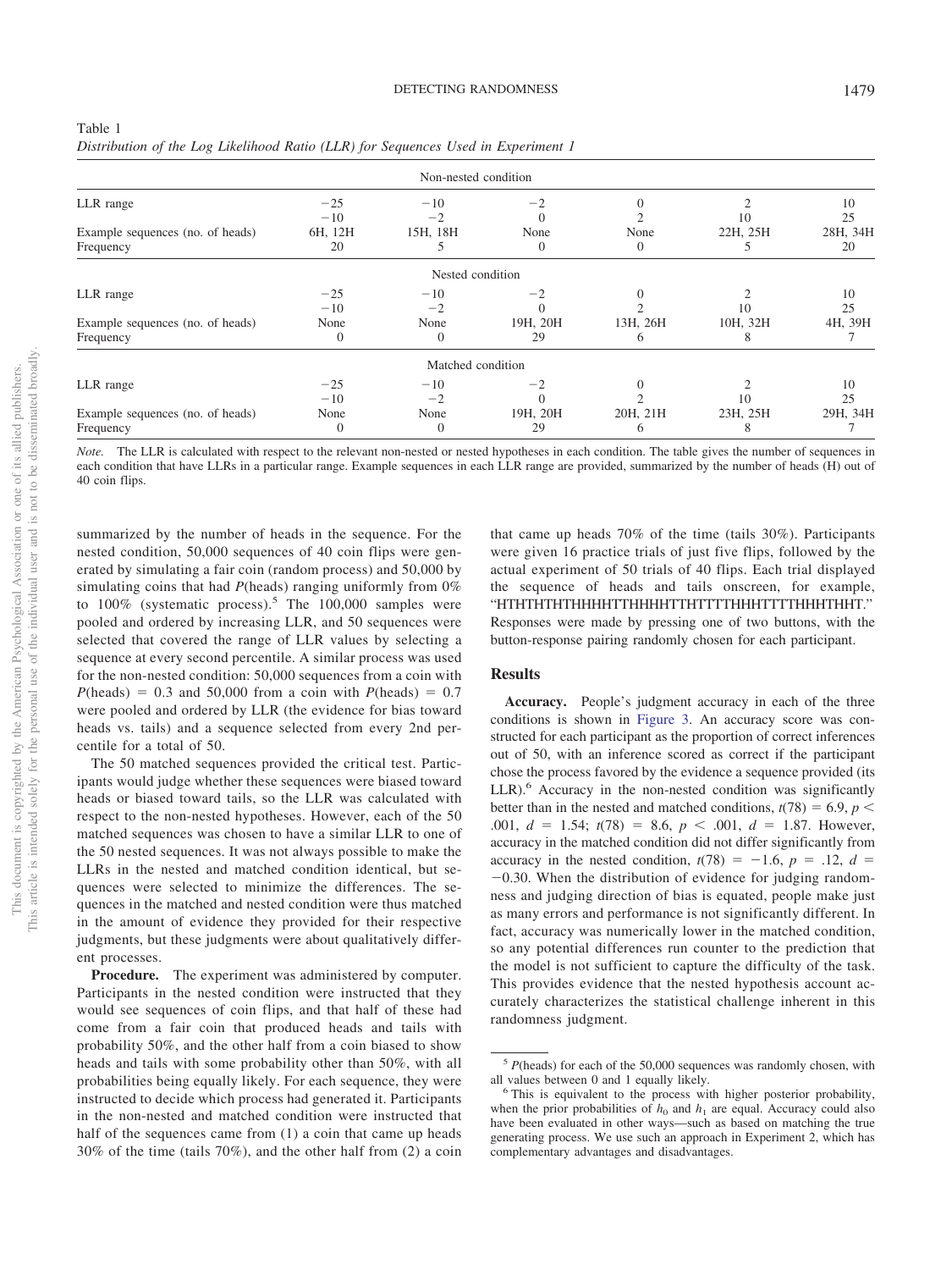<span id="page-6-0"></span>

| Table 1                                                                           |  |
|-----------------------------------------------------------------------------------|--|
| Distribution of the Log Likelihood Ratio (LLR) for Sequences Used in Experiment 1 |  |

| Non-nested condition             |          |                   |          |              |          |          |  |  |
|----------------------------------|----------|-------------------|----------|--------------|----------|----------|--|--|
| LLR range                        | $-25$    | $-10$             | $-2$     |              |          | 10       |  |  |
|                                  | $-10$    | $-2$              |          |              | 10       | 25       |  |  |
| Example sequences (no. of heads) | 6H, 12H  | 15H, 18H          | None     | None         | 22H, 25H | 28H, 34H |  |  |
| Frequency                        | 20       |                   | $\Omega$ | $\Omega$     |          | 20       |  |  |
|                                  |          | Nested condition  |          |              |          |          |  |  |
| LLR range                        | $-25$    | $-10$             | $-2$     |              |          | 10       |  |  |
|                                  | $-10$    | $-2$              |          |              | 10       | 25       |  |  |
| Example sequences (no. of heads) | None     | None              | 19H, 20H | 13H, 26H     | 10H, 32H | 4H, 39H  |  |  |
| Frequency                        | $\Omega$ | $\theta$          | 29       | 6            |          |          |  |  |
|                                  |          | Matched condition |          |              |          |          |  |  |
| LLR range                        | $-25$    | $-10$             | $-2$     |              |          | 10       |  |  |
|                                  | $-10$    | $-2$              |          |              | 10       | 25       |  |  |
| Example sequences (no. of heads) | None     | None              | 19H, 20H | 20H, 21H     | 23H, 25H | 29H, 34H |  |  |
| Frequency                        | $\Omega$ | $\theta$          | 29       | <sub>(</sub> | ŏ        |          |  |  |

*Note.* The LLR is calculated with respect to the relevant non-nested or nested hypotheses in each condition. The table gives the number of sequences in each condition that have LLRs in a particular range. Example sequences in each LLR range are provided, summarized by the number of heads (H) out of 40 coin flips.

summarized by the number of heads in the sequence. For the nested condition, 50,000 sequences of 40 coin flips were generated by simulating a fair coin (random process) and 50,000 by simulating coins that had *P*(heads) ranging uniformly from 0% to  $100\%$  (systematic process).<sup>5</sup> The  $100,000$  samples were pooled and ordered by increasing LLR, and 50 sequences were selected that covered the range of LLR values by selecting a sequence at every second percentile. A similar process was used for the non-nested condition: 50,000 sequences from a coin with  $P(\text{heads}) = 0.3$  and 50,000 from a coin with  $P(\text{heads}) = 0.7$ were pooled and ordered by LLR (the evidence for bias toward heads vs. tails) and a sequence selected from every 2nd percentile for a total of 50.

The 50 matched sequences provided the critical test. Participants would judge whether these sequences were biased toward heads or biased toward tails, so the LLR was calculated with respect to the non-nested hypotheses. However, each of the 50 matched sequences was chosen to have a similar LLR to one of the 50 nested sequences. It was not always possible to make the LLRs in the nested and matched condition identical, but sequences were selected to minimize the differences. The sequences in the matched and nested condition were thus matched in the amount of evidence they provided for their respective judgments, but these judgments were about qualitatively different processes.

**Procedure.** The experiment was administered by computer. Participants in the nested condition were instructed that they would see sequences of coin flips, and that half of these had come from a fair coin that produced heads and tails with probability 50%, and the other half from a coin biased to show heads and tails with some probability other than 50%, with all probabilities being equally likely. For each sequence, they were instructed to decide which process had generated it. Participants in the non-nested and matched condition were instructed that half of the sequences came from (1) a coin that came up heads 30% of the time (tails 70%), and the other half from (2) a coin that came up heads 70% of the time (tails 30%). Participants were given 16 practice trials of just five flips, followed by the actual experiment of 50 trials of 40 flips. Each trial displayed the sequence of heads and tails onscreen, for example, "HTHTHTHTHHHHTTHHHHTTHTTTTHHHTTTTHHHTHHT." Responses were made by pressing one of two buttons, with the button-response pairing randomly chosen for each participant.

### **Results**

**Accuracy.** People's judgment accuracy in each of the three conditions is shown in [Figure 3.](#page-7-0) An accuracy score was constructed for each participant as the proportion of correct inferences out of 50, with an inference scored as correct if the participant chose the process favored by the evidence a sequence provided (its  $LLR$ ).<sup>6</sup> Accuracy in the non-nested condition was significantly better than in the nested and matched conditions,  $t(78) = 6.9$ ,  $p <$ .001,  $d = 1.54$ ;  $t(78) = 8.6$ ,  $p < .001$ ,  $d = 1.87$ . However, accuracy in the matched condition did not differ significantly from accuracy in the nested condition,  $t(78) = -1.6$ ,  $p = .12$ ,  $d =$ -0.30. When the distribution of evidence for judging randomness and judging direction of bias is equated, people make just as many errors and performance is not significantly different. In fact, accuracy was numerically lower in the matched condition, so any potential differences run counter to the prediction that the model is not sufficient to capture the difficulty of the task. This provides evidence that the nested hypothesis account accurately characterizes the statistical challenge inherent in this randomness judgment.

<sup>&</sup>lt;sup>5</sup> *P*(heads) for each of the 50,000 sequences was randomly chosen, with

all values between 0 and 1 equally likely. <sup>6</sup> This is equivalent to the process with higher posterior probability, when the prior probabilities of  $h_0$  and  $h_1$  are equal. Accuracy could also have been evaluated in other ways—such as based on matching the true generating process. We use such an approach in Experiment 2, which has complementary advantages and disadvantages.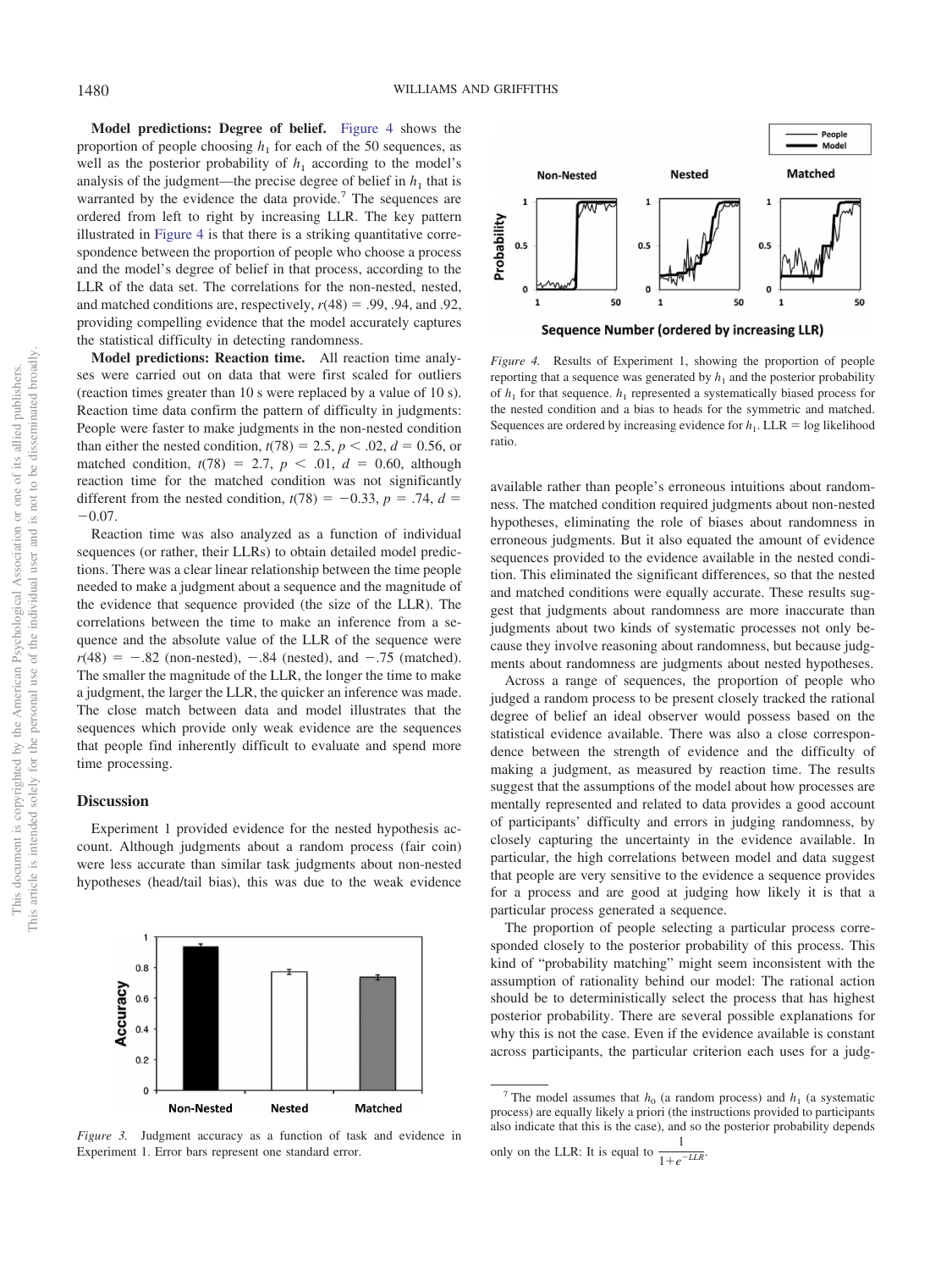**Model predictions: Degree of belief.** [Figure 4](#page-7-1) shows the proportion of people choosing  $h_1$  for each of the 50 sequences, as well as the posterior probability of  $h_1$  according to the model's analysis of the judgment—the precise degree of belief in  $h_1$  that is warranted by the evidence the data provide.<sup>7</sup> The sequences are ordered from left to right by increasing LLR. The key pattern illustrated in [Figure 4](#page-7-1) is that there is a striking quantitative correspondence between the proportion of people who choose a process and the model's degree of belief in that process, according to the LLR of the data set. The correlations for the non-nested, nested, and matched conditions are, respectively,  $r(48) = .99, .94,$  and .92, providing compelling evidence that the model accurately captures the statistical difficulty in detecting randomness.

**Model predictions: Reaction time.** All reaction time analyses were carried out on data that were first scaled for outliers (reaction times greater than 10 s were replaced by a value of 10 s). Reaction time data confirm the pattern of difficulty in judgments: People were faster to make judgments in the non-nested condition than either the nested condition,  $t(78) = 2.5$ ,  $p < .02$ ,  $d = 0.56$ , or matched condition,  $t(78) = 2.7$ ,  $p < .01$ ,  $d = 0.60$ , although reaction time for the matched condition was not significantly different from the nested condition,  $t(78) = -0.33$ ,  $p = .74$ ,  $d =$  $-0.07$ .

Reaction time was also analyzed as a function of individual sequences (or rather, their LLRs) to obtain detailed model predictions. There was a clear linear relationship between the time people needed to make a judgment about a sequence and the magnitude of the evidence that sequence provided (the size of the LLR). The correlations between the time to make an inference from a sequence and the absolute value of the LLR of the sequence were  $r(48) = -.82$  (non-nested),  $-.84$  (nested), and  $-.75$  (matched). The smaller the magnitude of the LLR, the longer the time to make a judgment, the larger the LLR, the quicker an inference was made. The close match between data and model illustrates that the sequences which provide only weak evidence are the sequences that people find inherently difficult to evaluate and spend more time processing.

### **Discussion**

Experiment 1 provided evidence for the nested hypothesis account. Although judgments about a random process (fair coin) were less accurate than similar task judgments about non-nested hypotheses (head/tail bias), this was due to the weak evidence



<span id="page-7-0"></span>*Figure 3.* Judgment accuracy as a function of task and evidence in Experiment 1. Error bars represent one standard error.



<span id="page-7-1"></span>*Figure 4.* Results of Experiment 1, showing the proportion of people reporting that a sequence was generated by  $h_1$  and the posterior probability of  $h_1$  for that sequence.  $h_1$  represented a systematically biased process for the nested condition and a bias to heads for the symmetric and matched. Sequences are ordered by increasing evidence for  $h_1$ . LLR = log likelihood ratio.

available rather than people's erroneous intuitions about randomness. The matched condition required judgments about non-nested hypotheses, eliminating the role of biases about randomness in erroneous judgments. But it also equated the amount of evidence sequences provided to the evidence available in the nested condition. This eliminated the significant differences, so that the nested and matched conditions were equally accurate. These results suggest that judgments about randomness are more inaccurate than judgments about two kinds of systematic processes not only because they involve reasoning about randomness, but because judgments about randomness are judgments about nested hypotheses.

Across a range of sequences, the proportion of people who judged a random process to be present closely tracked the rational degree of belief an ideal observer would possess based on the statistical evidence available. There was also a close correspondence between the strength of evidence and the difficulty of making a judgment, as measured by reaction time. The results suggest that the assumptions of the model about how processes are mentally represented and related to data provides a good account of participants' difficulty and errors in judging randomness, by closely capturing the uncertainty in the evidence available. In particular, the high correlations between model and data suggest that people are very sensitive to the evidence a sequence provides for a process and are good at judging how likely it is that a particular process generated a sequence.

The proportion of people selecting a particular process corresponded closely to the posterior probability of this process. This kind of "probability matching" might seem inconsistent with the assumption of rationality behind our model: The rational action should be to deterministically select the process that has highest posterior probability. There are several possible explanations for why this is not the case. Even if the evidence available is constant across participants, the particular criterion each uses for a judg-

```
only on the LLR: It is equal to \frac{1}{1+e^{-LLR}}.
```
<sup>&</sup>lt;sup>7</sup> The model assumes that  $h_0$  (a random process) and  $h_1$  (a systematic process) are equally likely a priori (the instructions provided to participants also indicate that this is the case), and so the posterior probability depends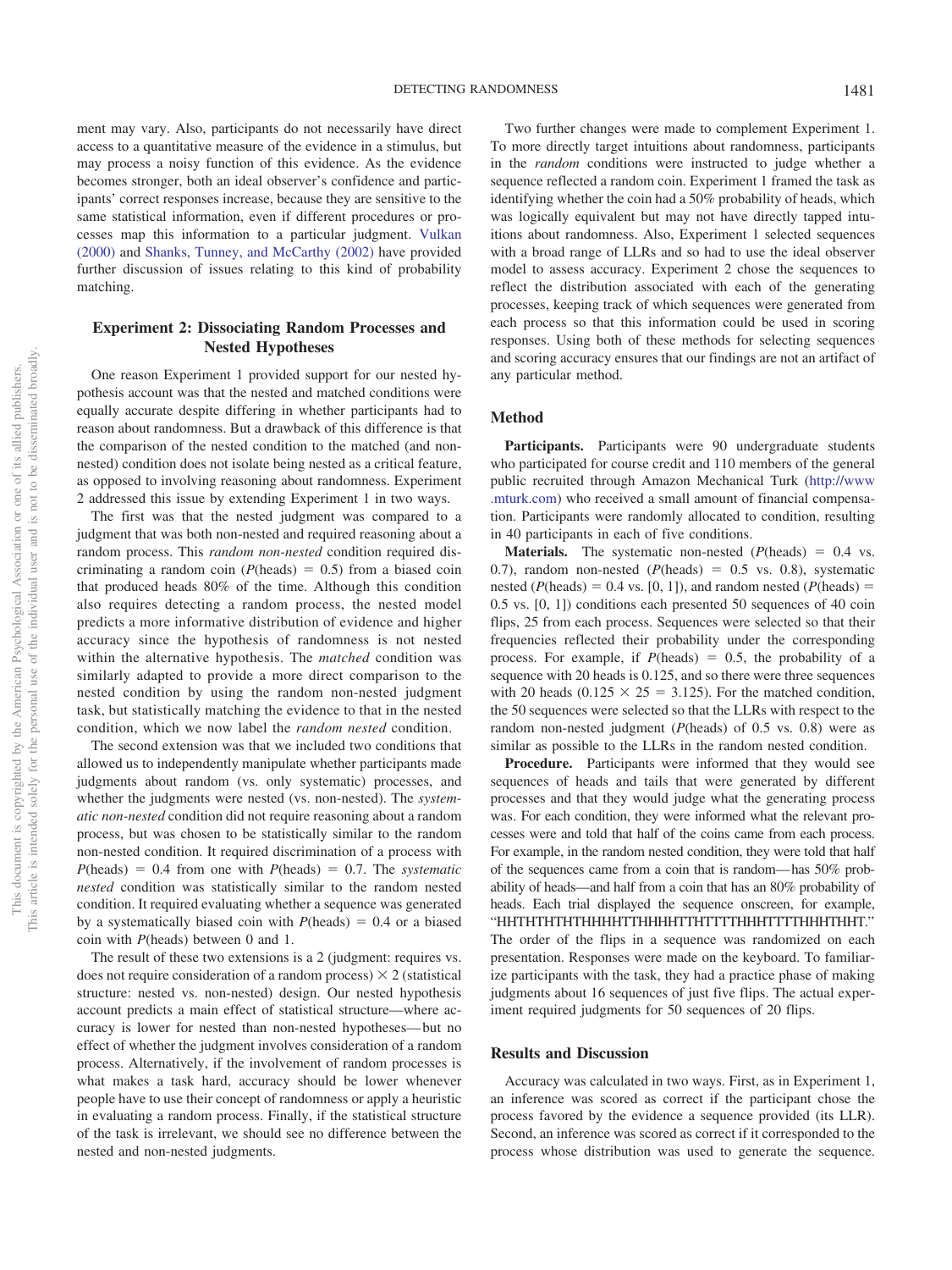ment may vary. Also, participants do not necessarily have direct access to a quantitative measure of the evidence in a stimulus, but may process a noisy function of this evidence. As the evidence becomes stronger, both an ideal observer's confidence and participants' correct responses increase, because they are sensitive to the same statistical information, even if different procedures or processes map this information to a particular judgment. [Vulkan](#page-15-2) [\(2000\)](#page-15-2) and [Shanks, Tunney, and McCarthy \(2002\)](#page-14-17) have provided further discussion of issues relating to this kind of probability matching.

## **Experiment 2: Dissociating Random Processes and Nested Hypotheses**

One reason Experiment 1 provided support for our nested hypothesis account was that the nested and matched conditions were equally accurate despite differing in whether participants had to reason about randomness. But a drawback of this difference is that the comparison of the nested condition to the matched (and nonnested) condition does not isolate being nested as a critical feature, as opposed to involving reasoning about randomness. Experiment 2 addressed this issue by extending Experiment 1 in two ways.

The first was that the nested judgment was compared to a judgment that was both non-nested and required reasoning about a random process. This *random non-nested* condition required discriminating a random coin ( $P(\text{heads}) = 0.5$ ) from a biased coin that produced heads 80% of the time. Although this condition also requires detecting a random process, the nested model predicts a more informative distribution of evidence and higher accuracy since the hypothesis of randomness is not nested within the alternative hypothesis. The *matched* condition was similarly adapted to provide a more direct comparison to the nested condition by using the random non-nested judgment task, but statistically matching the evidence to that in the nested condition, which we now label the *random nested* condition.

The second extension was that we included two conditions that allowed us to independently manipulate whether participants made judgments about random (vs. only systematic) processes, and whether the judgments were nested (vs. non-nested). The *systematic non-nested* condition did not require reasoning about a random process, but was chosen to be statistically similar to the random non-nested condition. It required discrimination of a process with  $P(\text{heads}) = 0.4$  from one with  $P(\text{heads}) = 0.7$ . The *systematic nested* condition was statistically similar to the random nested condition. It required evaluating whether a sequence was generated by a systematically biased coin with  $P(\text{heads}) = 0.4$  or a biased coin with *P*(heads) between 0 and 1.

The result of these two extensions is a 2 (judgment: requires vs. does not require consideration of a random process)  $\times$  2 (statistical structure: nested vs. non-nested) design. Our nested hypothesis account predicts a main effect of statistical structure—where accuracy is lower for nested than non-nested hypotheses— but no effect of whether the judgment involves consideration of a random process. Alternatively, if the involvement of random processes is what makes a task hard, accuracy should be lower whenever people have to use their concept of randomness or apply a heuristic in evaluating a random process. Finally, if the statistical structure of the task is irrelevant, we should see no difference between the nested and non-nested judgments.

Two further changes were made to complement Experiment 1. To more directly target intuitions about randomness, participants in the *random* conditions were instructed to judge whether a sequence reflected a random coin. Experiment 1 framed the task as identifying whether the coin had a 50% probability of heads, which was logically equivalent but may not have directly tapped intuitions about randomness. Also, Experiment 1 selected sequences with a broad range of LLRs and so had to use the ideal observer model to assess accuracy. Experiment 2 chose the sequences to reflect the distribution associated with each of the generating processes, keeping track of which sequences were generated from each process so that this information could be used in scoring responses. Using both of these methods for selecting sequences and scoring accuracy ensures that our findings are not an artifact of any particular method.

### **Method**

Participants. Participants were 90 undergraduate students who participated for course credit and 110 members of the general public recruited through Amazon Mechanical Turk [\(http://www](http://www.mturk.com) [.mturk.com\)](http://www.mturk.com) who received a small amount of financial compensation. Participants were randomly allocated to condition, resulting in 40 participants in each of five conditions.

**Materials.** The systematic non-nested  $(P(\text{heads}) = 0.4 \text{ vs.})$ 0.7), random non-nested  $(P(\text{heads}) = 0.5 \text{ vs. } 0.8)$ , systematic nested ( $P(\text{heads}) = 0.4 \text{ vs. } [0, 1]$ ), and random nested ( $P(\text{heads}) =$ 0.5 vs. [0, 1]) conditions each presented 50 sequences of 40 coin flips, 25 from each process. Sequences were selected so that their frequencies reflected their probability under the corresponding process. For example, if  $P(\text{heads}) = 0.5$ , the probability of a sequence with 20 heads is 0.125, and so there were three sequences with 20 heads (0.125  $\times$  25 = 3.125). For the matched condition, the 50 sequences were selected so that the LLRs with respect to the random non-nested judgment (*P*(heads) of 0.5 vs. 0.8) were as similar as possible to the LLRs in the random nested condition.

**Procedure.** Participants were informed that they would see sequences of heads and tails that were generated by different processes and that they would judge what the generating process was. For each condition, they were informed what the relevant processes were and told that half of the coins came from each process. For example, in the random nested condition, they were told that half of the sequences came from a coin that is random— has 50% probability of heads—and half from a coin that has an 80% probability of heads. Each trial displayed the sequence onscreen, for example, "HHTHTHTHTHHHHTTHHHHTTHTTTTHHHTTTTHHHTHHT." The order of the flips in a sequence was randomized on each presentation. Responses were made on the keyboard. To familiarize participants with the task, they had a practice phase of making judgments about 16 sequences of just five flips. The actual experiment required judgments for 50 sequences of 20 flips.

#### **Results and Discussion**

Accuracy was calculated in two ways. First, as in Experiment 1, an inference was scored as correct if the participant chose the process favored by the evidence a sequence provided (its LLR). Second, an inference was scored as correct if it corresponded to the process whose distribution was used to generate the sequence.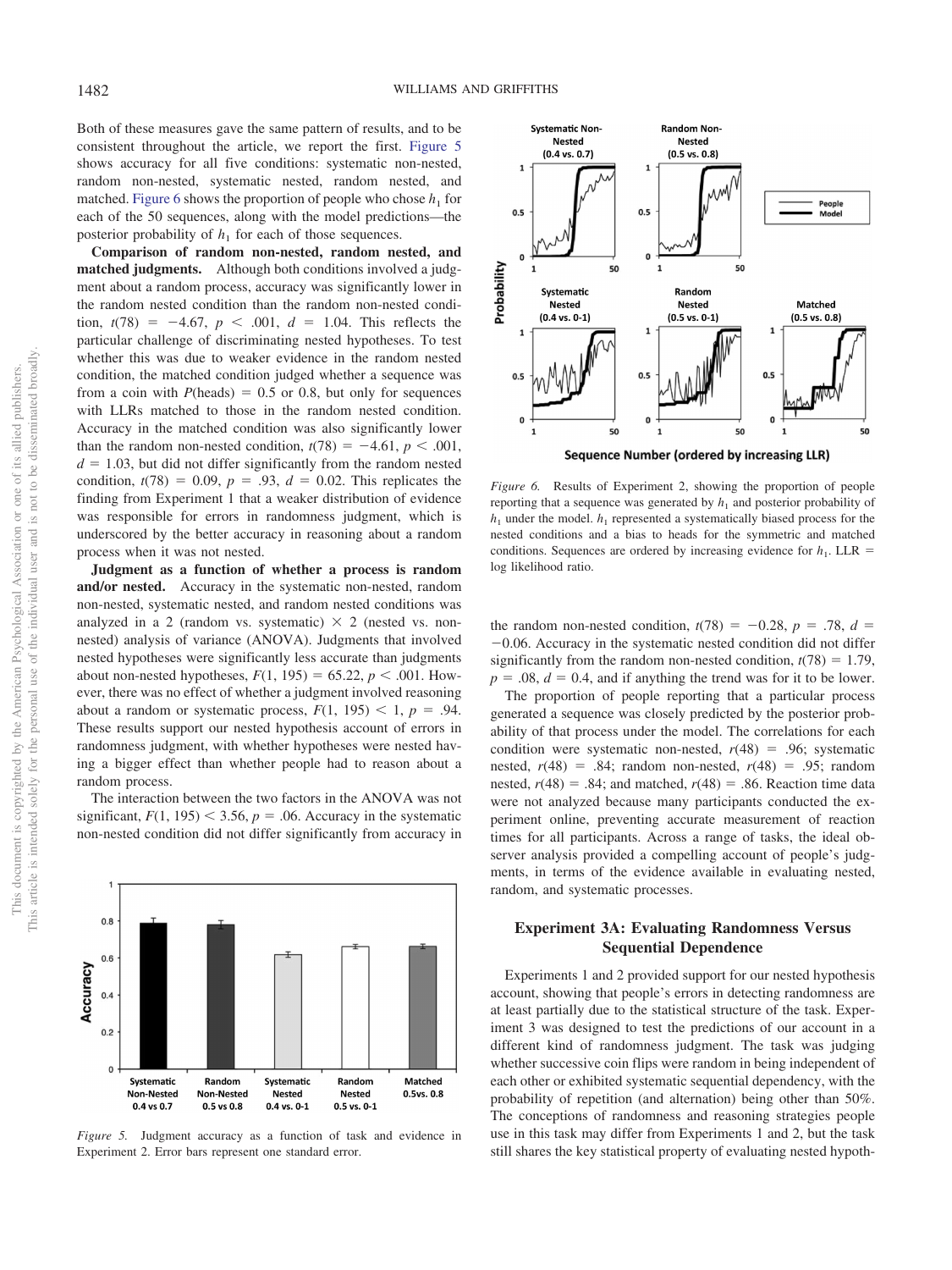Both of these measures gave the same pattern of results, and to be consistent throughout the article, we report the first. [Figure 5](#page-9-0) shows accuracy for all five conditions: systematic non-nested, random non-nested, systematic nested, random nested, and matched. [Figure 6](#page-9-1) shows the proportion of people who chose  $h_1$  for each of the 50 sequences, along with the model predictions—the posterior probability of  $h_1$  for each of those sequences.

**Comparison of random non-nested, random nested, and matched judgments.** Although both conditions involved a judgment about a random process, accuracy was significantly lower in the random nested condition than the random non-nested condition,  $t(78) = -4.67$ ,  $p < .001$ ,  $d = 1.04$ . This reflects the particular challenge of discriminating nested hypotheses. To test whether this was due to weaker evidence in the random nested condition, the matched condition judged whether a sequence was from a coin with  $P(\text{heads}) = 0.5$  or 0.8, but only for sequences with LLRs matched to those in the random nested condition. Accuracy in the matched condition was also significantly lower than the random non-nested condition,  $t(78) = -4.61$ ,  $p < .001$ ,  $d = 1.03$ , but did not differ significantly from the random nested condition,  $t(78) = 0.09$ ,  $p = .93$ ,  $d = 0.02$ . This replicates the finding from Experiment 1 that a weaker distribution of evidence was responsible for errors in randomness judgment, which is underscored by the better accuracy in reasoning about a random process when it was not nested.

**Judgment as a function of whether a process is random and/or nested.** Accuracy in the systematic non-nested, random non-nested, systematic nested, and random nested conditions was analyzed in a 2 (random vs. systematic)  $\times$  2 (nested vs. nonnested) analysis of variance (ANOVA). Judgments that involved nested hypotheses were significantly less accurate than judgments about non-nested hypotheses,  $F(1, 195) = 65.22$ ,  $p < .001$ . However, there was no effect of whether a judgment involved reasoning about a random or systematic process,  $F(1, 195) < 1$ ,  $p = .94$ . These results support our nested hypothesis account of errors in randomness judgment, with whether hypotheses were nested having a bigger effect than whether people had to reason about a random process.

The interaction between the two factors in the ANOVA was not significant,  $F(1, 195)$  < 3.56,  $p = .06$ . Accuracy in the systematic non-nested condition did not differ significantly from accuracy in



<span id="page-9-0"></span>



<span id="page-9-1"></span>*Figure 6.* Results of Experiment 2, showing the proportion of people reporting that a sequence was generated by  $h_1$  and posterior probability of  $h_1$  under the model.  $h_1$  represented a systematically biased process for the nested conditions and a bias to heads for the symmetric and matched conditions. Sequences are ordered by increasing evidence for  $h_1$ . LLR = log likelihood ratio.

the random non-nested condition,  $t(78) = -0.28$ ,  $p = .78$ ,  $d =$ -0.06. Accuracy in the systematic nested condition did not differ significantly from the random non-nested condition,  $t(78) = 1.79$ ,  $p = 0.08$ ,  $d = 0.4$ , and if anything the trend was for it to be lower.

The proportion of people reporting that a particular process generated a sequence was closely predicted by the posterior probability of that process under the model. The correlations for each condition were systematic non-nested,  $r(48) = .96$ ; systematic nested,  $r(48) = .84$ ; random non-nested,  $r(48) = .95$ ; random nested,  $r(48) = .84$ ; and matched,  $r(48) = .86$ . Reaction time data were not analyzed because many participants conducted the experiment online, preventing accurate measurement of reaction times for all participants. Across a range of tasks, the ideal observer analysis provided a compelling account of people's judgments, in terms of the evidence available in evaluating nested, random, and systematic processes.

### **Experiment 3A: Evaluating Randomness Versus Sequential Dependence**

Experiments 1 and 2 provided support for our nested hypothesis account, showing that people's errors in detecting randomness are at least partially due to the statistical structure of the task. Experiment 3 was designed to test the predictions of our account in a different kind of randomness judgment. The task was judging whether successive coin flips were random in being independent of each other or exhibited systematic sequential dependency, with the probability of repetition (and alternation) being other than 50%. The conceptions of randomness and reasoning strategies people use in this task may differ from Experiments 1 and 2, but the task still shares the key statistical property of evaluating nested hypoth-

 $0.8$ 

 $0.6$ 

 $0.2$ 

Accuracy  $0.4$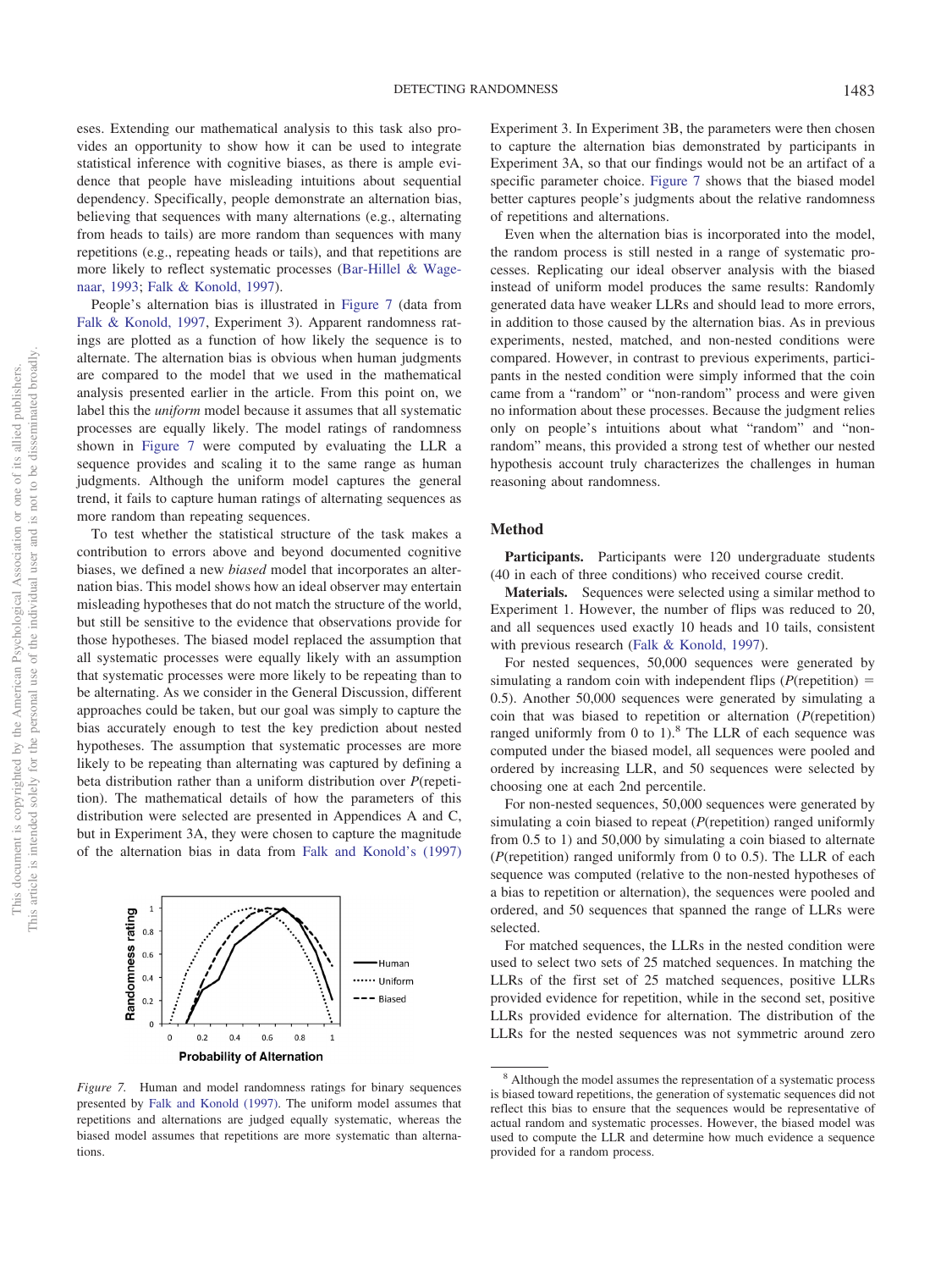eses. Extending our mathematical analysis to this task also provides an opportunity to show how it can be used to integrate statistical inference with cognitive biases, as there is ample evidence that people have misleading intuitions about sequential dependency. Specifically, people demonstrate an alternation bias, believing that sequences with many alternations (e.g., alternating from heads to tails) are more random than sequences with many repetitions (e.g., repeating heads or tails), and that repetitions are more likely to reflect systematic processes [\(Bar-Hillel & Wage](#page-14-0)[naar, 1993;](#page-14-0) [Falk & Konold, 1997\)](#page-14-1).

People's alternation bias is illustrated in [Figure 7](#page-10-0) (data from [Falk & Konold, 1997,](#page-14-1) Experiment 3). Apparent randomness ratings are plotted as a function of how likely the sequence is to alternate. The alternation bias is obvious when human judgments are compared to the model that we used in the mathematical analysis presented earlier in the article. From this point on, we label this the *uniform* model because it assumes that all systematic processes are equally likely. The model ratings of randomness shown in [Figure 7](#page-10-0) were computed by evaluating the LLR a sequence provides and scaling it to the same range as human judgments. Although the uniform model captures the general trend, it fails to capture human ratings of alternating sequences as more random than repeating sequences.

To test whether the statistical structure of the task makes a contribution to errors above and beyond documented cognitive biases, we defined a new *biased* model that incorporates an alternation bias. This model shows how an ideal observer may entertain misleading hypotheses that do not match the structure of the world, but still be sensitive to the evidence that observations provide for those hypotheses. The biased model replaced the assumption that all systematic processes were equally likely with an assumption that systematic processes were more likely to be repeating than to be alternating. As we consider in the General Discussion, different approaches could be taken, but our goal was simply to capture the bias accurately enough to test the key prediction about nested hypotheses. The assumption that systematic processes are more likely to be repeating than alternating was captured by defining a beta distribution rather than a uniform distribution over *P*(repetition). The mathematical details of how the parameters of this distribution were selected are presented in Appendices A and C, but in Experiment 3A, they were chosen to capture the magnitude of the alternation bias in data from [Falk and Konold's \(1997\)](#page-14-1)



<span id="page-10-0"></span>*Figure 7.* Human and model randomness ratings for binary sequences presented by [Falk and Konold \(1997\).](#page-14-1) The uniform model assumes that repetitions and alternations are judged equally systematic, whereas the biased model assumes that repetitions are more systematic than alternations.

Experiment 3. In Experiment 3B, the parameters were then chosen to capture the alternation bias demonstrated by participants in Experiment 3A, so that our findings would not be an artifact of a specific parameter choice. [Figure 7](#page-10-0) shows that the biased model better captures people's judgments about the relative randomness of repetitions and alternations.

Even when the alternation bias is incorporated into the model, the random process is still nested in a range of systematic processes. Replicating our ideal observer analysis with the biased instead of uniform model produces the same results: Randomly generated data have weaker LLRs and should lead to more errors, in addition to those caused by the alternation bias. As in previous experiments, nested, matched, and non-nested conditions were compared. However, in contrast to previous experiments, participants in the nested condition were simply informed that the coin came from a "random" or "non-random" process and were given no information about these processes. Because the judgment relies only on people's intuitions about what "random" and "nonrandom" means, this provided a strong test of whether our nested hypothesis account truly characterizes the challenges in human reasoning about randomness.

### **Method**

Participants. Participants were 120 undergraduate students (40 in each of three conditions) who received course credit.

**Materials.** Sequences were selected using a similar method to Experiment 1. However, the number of flips was reduced to 20, and all sequences used exactly 10 heads and 10 tails, consistent with previous research [\(Falk & Konold, 1997\)](#page-14-1).

For nested sequences, 50,000 sequences were generated by simulating a random coin with independent flips  $(P$ (repetition) = 0.5). Another 50,000 sequences were generated by simulating a coin that was biased to repetition or alternation (*P*(repetition) ranged uniformly from 0 to 1).<sup>8</sup> The LLR of each sequence was computed under the biased model, all sequences were pooled and ordered by increasing LLR, and 50 sequences were selected by choosing one at each 2nd percentile.

For non-nested sequences, 50,000 sequences were generated by simulating a coin biased to repeat (*P*(repetition) ranged uniformly from 0.5 to 1) and 50,000 by simulating a coin biased to alternate (*P*(repetition) ranged uniformly from 0 to 0.5). The LLR of each sequence was computed (relative to the non-nested hypotheses of a bias to repetition or alternation), the sequences were pooled and ordered, and 50 sequences that spanned the range of LLRs were selected.

For matched sequences, the LLRs in the nested condition were used to select two sets of 25 matched sequences. In matching the LLRs of the first set of 25 matched sequences, positive LLRs provided evidence for repetition, while in the second set, positive LLRs provided evidence for alternation. The distribution of the LLRs for the nested sequences was not symmetric around zero

<sup>&</sup>lt;sup>8</sup> Although the model assumes the representation of a systematic process is biased toward repetitions, the generation of systematic sequences did not reflect this bias to ensure that the sequences would be representative of actual random and systematic processes. However, the biased model was used to compute the LLR and determine how much evidence a sequence provided for a random process.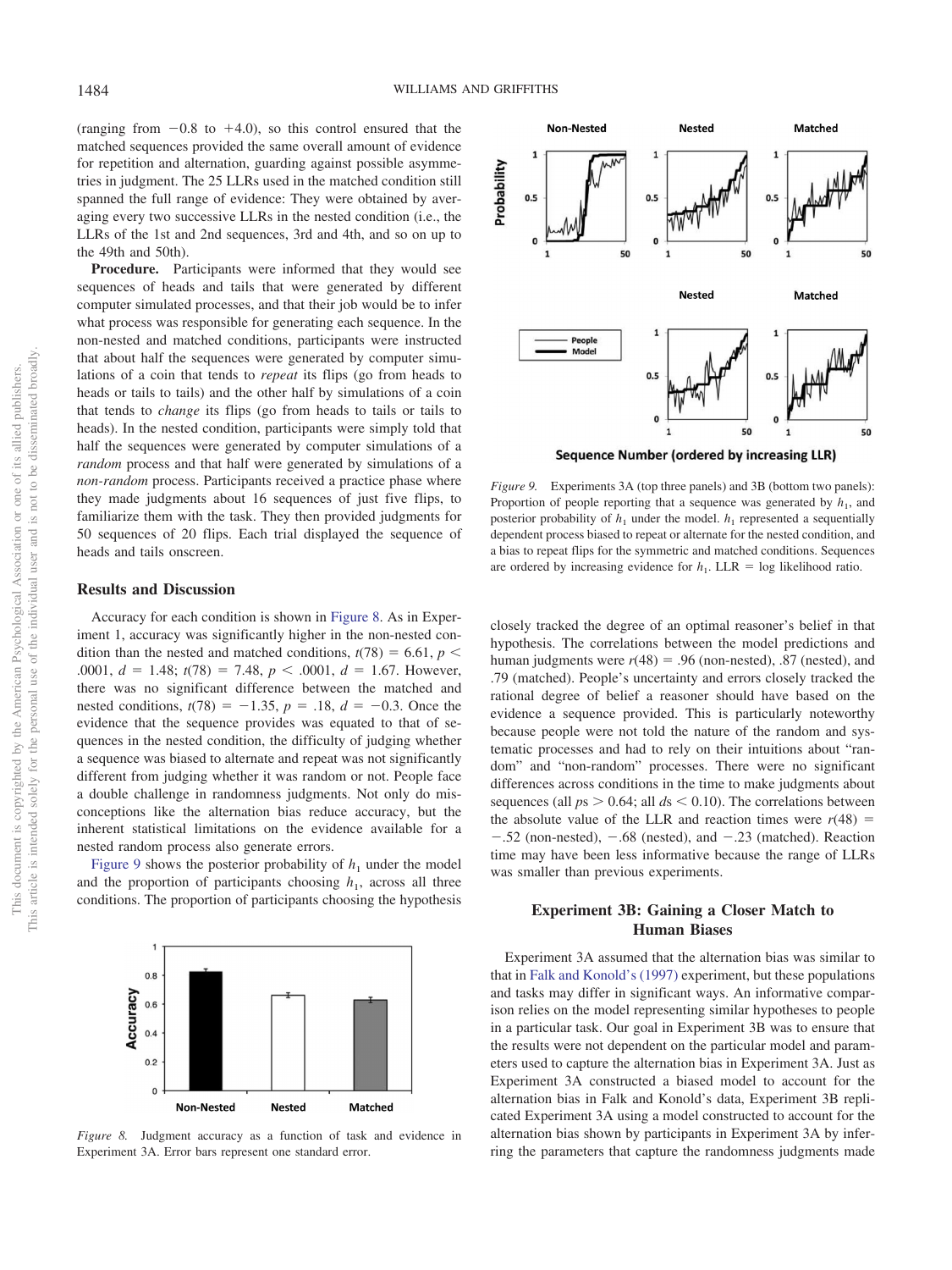(ranging from  $-0.8$  to  $+4.0$ ), so this control ensured that the matched sequences provided the same overall amount of evidence for repetition and alternation, guarding against possible asymmetries in judgment. The 25 LLRs used in the matched condition still spanned the full range of evidence: They were obtained by averaging every two successive LLRs in the nested condition (i.e., the LLRs of the 1st and 2nd sequences, 3rd and 4th, and so on up to the 49th and 50th).

**Procedure.** Participants were informed that they would see sequences of heads and tails that were generated by different computer simulated processes, and that their job would be to infer what process was responsible for generating each sequence. In the non-nested and matched conditions, participants were instructed that about half the sequences were generated by computer simulations of a coin that tends to *repeat* its flips (go from heads to heads or tails to tails) and the other half by simulations of a coin that tends to *change* its flips (go from heads to tails or tails to heads). In the nested condition, participants were simply told that half the sequences were generated by computer simulations of a *random* process and that half were generated by simulations of a *non-random* process. Participants received a practice phase where they made judgments about 16 sequences of just five flips, to familiarize them with the task. They then provided judgments for 50 sequences of 20 flips. Each trial displayed the sequence of heads and tails onscreen.

# **Results and Discussion**

Accuracy for each condition is shown in [Figure 8.](#page-11-0) As in Experiment 1, accuracy was significantly higher in the non-nested condition than the nested and matched conditions,  $t(78) = 6.61$ ,  $p <$ .0001,  $d = 1.48$ ;  $t(78) = 7.48$ ,  $p < .0001$ ,  $d = 1.67$ . However, there was no significant difference between the matched and nested conditions,  $t(78) = -1.35$ ,  $p = .18$ ,  $d = -0.3$ . Once the evidence that the sequence provides was equated to that of sequences in the nested condition, the difficulty of judging whether a sequence was biased to alternate and repeat was not significantly different from judging whether it was random or not. People face a double challenge in randomness judgments. Not only do misconceptions like the alternation bias reduce accuracy, but the inherent statistical limitations on the evidence available for a nested random process also generate errors.

[Figure 9](#page-11-1) shows the posterior probability of  $h_1$  under the model and the proportion of participants choosing  $h_1$ , across all three conditions. The proportion of participants choosing the hypothesis



<span id="page-11-0"></span>*Figure 8.* Judgment accuracy as a function of task and evidence in Experiment 3A. Error bars represent one standard error.



<span id="page-11-1"></span>*Figure 9.* Experiments 3A (top three panels) and 3B (bottom two panels): Proportion of people reporting that a sequence was generated by  $h_1$ , and posterior probability of  $h_1$  under the model.  $h_1$  represented a sequentially dependent process biased to repeat or alternate for the nested condition, and a bias to repeat flips for the symmetric and matched conditions. Sequences are ordered by increasing evidence for  $h_1$ . LLR = log likelihood ratio.

closely tracked the degree of an optimal reasoner's belief in that hypothesis. The correlations between the model predictions and human judgments were  $r(48) = .96$  (non-nested), .87 (nested), and .79 (matched). People's uncertainty and errors closely tracked the rational degree of belief a reasoner should have based on the evidence a sequence provided. This is particularly noteworthy because people were not told the nature of the random and systematic processes and had to rely on their intuitions about "random" and "non-random" processes. There were no significant differences across conditions in the time to make judgments about sequences (all  $ps > 0.64$ ; all  $ds < 0.10$ ). The correlations between the absolute value of the LLR and reaction times were  $r(48)$  =  $-.52$  (non-nested),  $-.68$  (nested), and  $-.23$  (matched). Reaction time may have been less informative because the range of LLRs was smaller than previous experiments.

# **Experiment 3B: Gaining a Closer Match to Human Biases**

Experiment 3A assumed that the alternation bias was similar to that in [Falk and Konold's \(1997\)](#page-14-1) experiment, but these populations and tasks may differ in significant ways. An informative comparison relies on the model representing similar hypotheses to people in a particular task. Our goal in Experiment 3B was to ensure that the results were not dependent on the particular model and parameters used to capture the alternation bias in Experiment 3A. Just as Experiment 3A constructed a biased model to account for the alternation bias in Falk and Konold's data, Experiment 3B replicated Experiment 3A using a model constructed to account for the alternation bias shown by participants in Experiment 3A by inferring the parameters that capture the randomness judgments made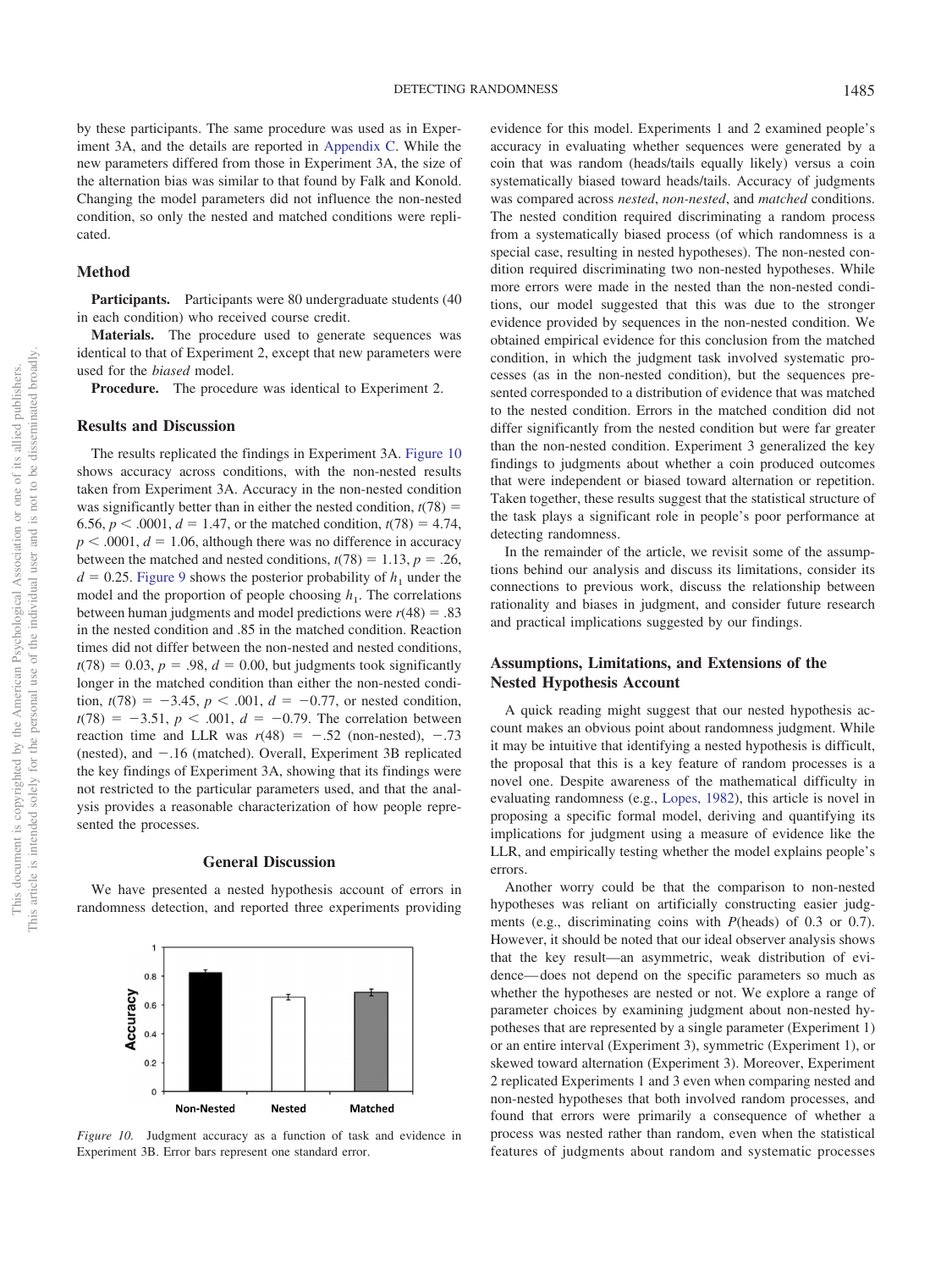by these participants. The same procedure was used as in Experiment 3A, and the details are reported in Appendix C. While the new parameters differed from those in Experiment 3A, the size of the alternation bias was similar to that found by Falk and Konold. Changing the model parameters did not influence the non-nested condition, so only the nested and matched conditions were replicated.

### **Method**

Participants. Participants were 80 undergraduate students (40 in each condition) who received course credit.

**Materials.** The procedure used to generate sequences was identical to that of Experiment 2, except that new parameters were used for the *biased* model.

**Procedure.** The procedure was identical to Experiment 2.

#### **Results and Discussion**

The results replicated the findings in Experiment 3A. [Figure 10](#page-12-0) shows accuracy across conditions, with the non-nested results taken from Experiment 3A. Accuracy in the non-nested condition was significantly better than in either the nested condition,  $t(78)$  = 6.56,  $p < .0001$ ,  $d = 1.47$ , or the matched condition,  $t(78) = 4.74$ ,  $p < .0001$ ,  $d = 1.06$ , although there was no difference in accuracy between the matched and nested conditions,  $t(78) = 1.13$ ,  $p = .26$ ,  $d = 0.25$ . [Figure 9](#page-11-1) shows the posterior probability of  $h_1$  under the model and the proportion of people choosing  $h_1$ . The correlations between human judgments and model predictions were  $r(48) = .83$ in the nested condition and .85 in the matched condition. Reaction times did not differ between the non-nested and nested conditions,  $t(78) = 0.03$ ,  $p = .98$ ,  $d = 0.00$ , but judgments took significantly longer in the matched condition than either the non-nested condition,  $t(78) = -3.45$ ,  $p < .001$ ,  $d = -0.77$ , or nested condition,  $t(78) = -3.51, p < .001, d = -0.79$ . The correlation between reaction time and LLR was  $r(48) = -.52$  (non-nested),  $-.73$ (nested), and -.16 (matched). Overall, Experiment 3B replicated the key findings of Experiment 3A, showing that its findings were not restricted to the particular parameters used, and that the analysis provides a reasonable characterization of how people represented the processes.

#### **General Discussion**

We have presented a nested hypothesis account of errors in randomness detection, and reported three experiments providing



<span id="page-12-0"></span>*Figure 10.* Judgment accuracy as a function of task and evidence in Experiment 3B. Error bars represent one standard error.

evidence for this model. Experiments 1 and 2 examined people's accuracy in evaluating whether sequences were generated by a coin that was random (heads/tails equally likely) versus a coin systematically biased toward heads/tails. Accuracy of judgments was compared across *nested*, *non-nested*, and *matched* conditions. The nested condition required discriminating a random process from a systematically biased process (of which randomness is a special case, resulting in nested hypotheses). The non-nested condition required discriminating two non-nested hypotheses. While more errors were made in the nested than the non-nested conditions, our model suggested that this was due to the stronger evidence provided by sequences in the non-nested condition. We obtained empirical evidence for this conclusion from the matched condition, in which the judgment task involved systematic processes (as in the non-nested condition), but the sequences presented corresponded to a distribution of evidence that was matched to the nested condition. Errors in the matched condition did not differ significantly from the nested condition but were far greater than the non-nested condition. Experiment 3 generalized the key findings to judgments about whether a coin produced outcomes that were independent or biased toward alternation or repetition. Taken together, these results suggest that the statistical structure of the task plays a significant role in people's poor performance at detecting randomness.

In the remainder of the article, we revisit some of the assumptions behind our analysis and discuss its limitations, consider its connections to previous work, discuss the relationship between rationality and biases in judgment, and consider future research and practical implications suggested by our findings.

### **Assumptions, Limitations, and Extensions of the Nested Hypothesis Account**

A quick reading might suggest that our nested hypothesis account makes an obvious point about randomness judgment. While it may be intuitive that identifying a nested hypothesis is difficult, the proposal that this is a key feature of random processes is a novel one. Despite awareness of the mathematical difficulty in evaluating randomness (e.g., [Lopes, 1982\)](#page-14-11), this article is novel in proposing a specific formal model, deriving and quantifying its implications for judgment using a measure of evidence like the LLR, and empirically testing whether the model explains people's errors.

Another worry could be that the comparison to non-nested hypotheses was reliant on artificially constructing easier judgments (e.g., discriminating coins with *P*(heads) of 0.3 or 0.7). However, it should be noted that our ideal observer analysis shows that the key result—an asymmetric, weak distribution of evidence— does not depend on the specific parameters so much as whether the hypotheses are nested or not. We explore a range of parameter choices by examining judgment about non-nested hypotheses that are represented by a single parameter (Experiment 1) or an entire interval (Experiment 3), symmetric (Experiment 1), or skewed toward alternation (Experiment 3). Moreover, Experiment 2 replicated Experiments 1 and 3 even when comparing nested and non-nested hypotheses that both involved random processes, and found that errors were primarily a consequence of whether a process was nested rather than random, even when the statistical features of judgments about random and systematic processes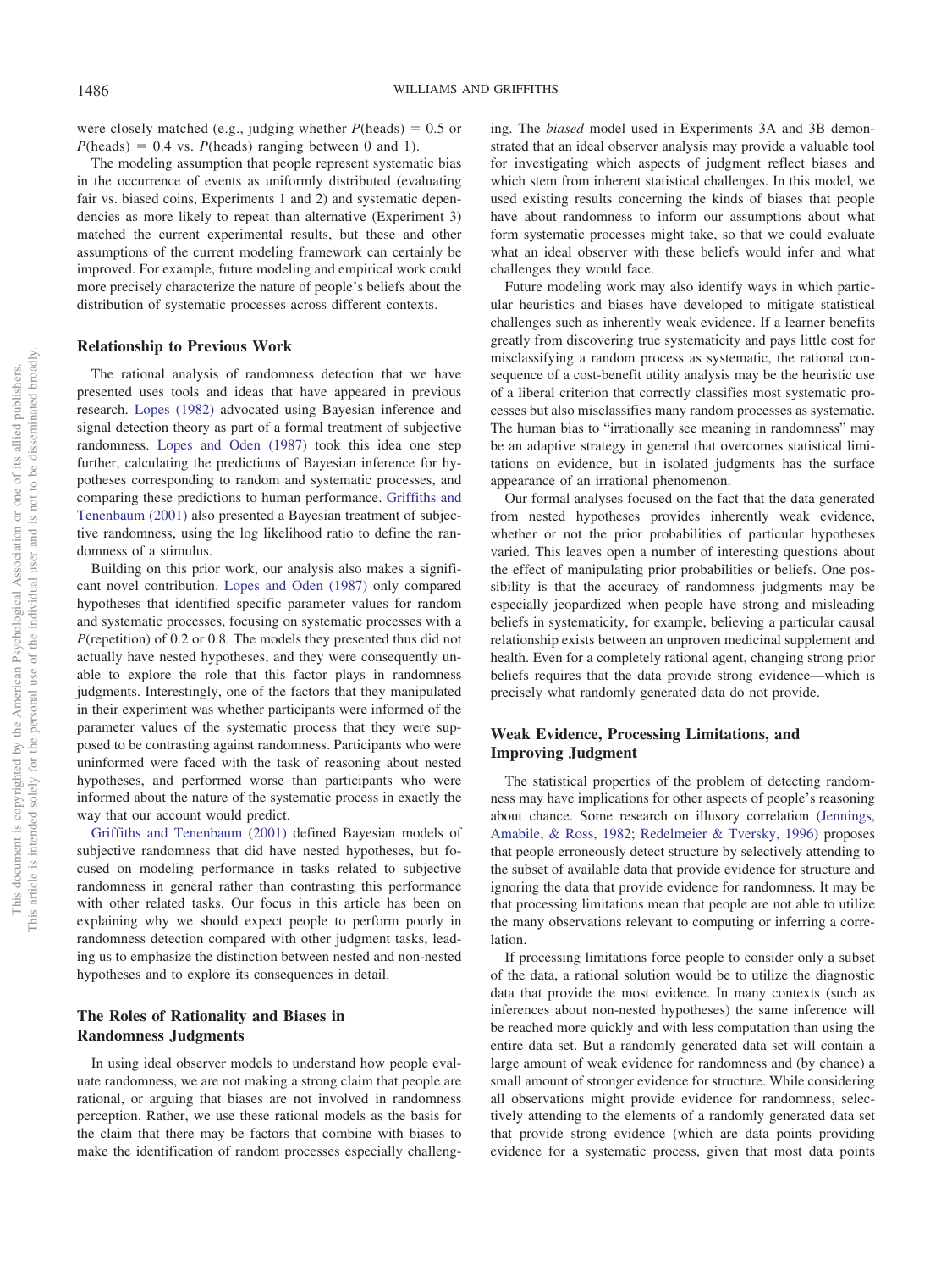were closely matched (e.g., judging whether  $P(\text{heads}) = 0.5$  or  $P(\text{heads}) = 0.4$  vs.  $P(\text{heads})$  ranging between 0 and 1).

The modeling assumption that people represent systematic bias in the occurrence of events as uniformly distributed (evaluating fair vs. biased coins, Experiments 1 and 2) and systematic dependencies as more likely to repeat than alternative (Experiment 3) matched the current experimental results, but these and other assumptions of the current modeling framework can certainly be improved. For example, future modeling and empirical work could more precisely characterize the nature of people's beliefs about the distribution of systematic processes across different contexts.

#### **Relationship to Previous Work**

The rational analysis of randomness detection that we have presented uses tools and ideas that have appeared in previous research. [Lopes \(1982\)](#page-14-11) advocated using Bayesian inference and signal detection theory as part of a formal treatment of subjective randomness. [Lopes and Oden \(1987\)](#page-14-3) took this idea one step further, calculating the predictions of Bayesian inference for hypotheses corresponding to random and systematic processes, and comparing these predictions to human performance. [Griffiths and](#page-14-14) [Tenenbaum \(2001\)](#page-14-14) also presented a Bayesian treatment of subjective randomness, using the log likelihood ratio to define the randomness of a stimulus.

Building on this prior work, our analysis also makes a significant novel contribution. [Lopes and Oden \(1987\)](#page-14-3) only compared hypotheses that identified specific parameter values for random and systematic processes, focusing on systematic processes with a *P*(repetition) of 0.2 or 0.8. The models they presented thus did not actually have nested hypotheses, and they were consequently unable to explore the role that this factor plays in randomness judgments. Interestingly, one of the factors that they manipulated in their experiment was whether participants were informed of the parameter values of the systematic process that they were supposed to be contrasting against randomness. Participants who were uninformed were faced with the task of reasoning about nested hypotheses, and performed worse than participants who were informed about the nature of the systematic process in exactly the way that our account would predict.

[Griffiths and Tenenbaum \(2001\)](#page-14-14) defined Bayesian models of subjective randomness that did have nested hypotheses, but focused on modeling performance in tasks related to subjective randomness in general rather than contrasting this performance with other related tasks. Our focus in this article has been on explaining why we should expect people to perform poorly in randomness detection compared with other judgment tasks, leading us to emphasize the distinction between nested and non-nested hypotheses and to explore its consequences in detail.

# **The Roles of Rationality and Biases in Randomness Judgments**

In using ideal observer models to understand how people evaluate randomness, we are not making a strong claim that people are rational, or arguing that biases are not involved in randomness perception. Rather, we use these rational models as the basis for the claim that there may be factors that combine with biases to make the identification of random processes especially challenging. The *biased* model used in Experiments 3A and 3B demonstrated that an ideal observer analysis may provide a valuable tool for investigating which aspects of judgment reflect biases and which stem from inherent statistical challenges. In this model, we used existing results concerning the kinds of biases that people have about randomness to inform our assumptions about what form systematic processes might take, so that we could evaluate what an ideal observer with these beliefs would infer and what challenges they would face.

Future modeling work may also identify ways in which particular heuristics and biases have developed to mitigate statistical challenges such as inherently weak evidence. If a learner benefits greatly from discovering true systematicity and pays little cost for misclassifying a random process as systematic, the rational consequence of a cost-benefit utility analysis may be the heuristic use of a liberal criterion that correctly classifies most systematic processes but also misclassifies many random processes as systematic. The human bias to "irrationally see meaning in randomness" may be an adaptive strategy in general that overcomes statistical limitations on evidence, but in isolated judgments has the surface appearance of an irrational phenomenon.

Our formal analyses focused on the fact that the data generated from nested hypotheses provides inherently weak evidence, whether or not the prior probabilities of particular hypotheses varied. This leaves open a number of interesting questions about the effect of manipulating prior probabilities or beliefs. One possibility is that the accuracy of randomness judgments may be especially jeopardized when people have strong and misleading beliefs in systematicity, for example, believing a particular causal relationship exists between an unproven medicinal supplement and health. Even for a completely rational agent, changing strong prior beliefs requires that the data provide strong evidence—which is precisely what randomly generated data do not provide.

# **Weak Evidence, Processing Limitations, and Improving Judgment**

The statistical properties of the problem of detecting randomness may have implications for other aspects of people's reasoning about chance. Some research on illusory correlation [\(Jennings,](#page-14-18) [Amabile, & Ross, 1982;](#page-14-18) [Redelmeier & Tversky, 1996\)](#page-14-19) proposes that people erroneously detect structure by selectively attending to the subset of available data that provide evidence for structure and ignoring the data that provide evidence for randomness. It may be that processing limitations mean that people are not able to utilize the many observations relevant to computing or inferring a correlation.

If processing limitations force people to consider only a subset of the data, a rational solution would be to utilize the diagnostic data that provide the most evidence. In many contexts (such as inferences about non-nested hypotheses) the same inference will be reached more quickly and with less computation than using the entire data set. But a randomly generated data set will contain a large amount of weak evidence for randomness and (by chance) a small amount of stronger evidence for structure. While considering all observations might provide evidence for randomness, selectively attending to the elements of a randomly generated data set that provide strong evidence (which are data points providing evidence for a systematic process, given that most data points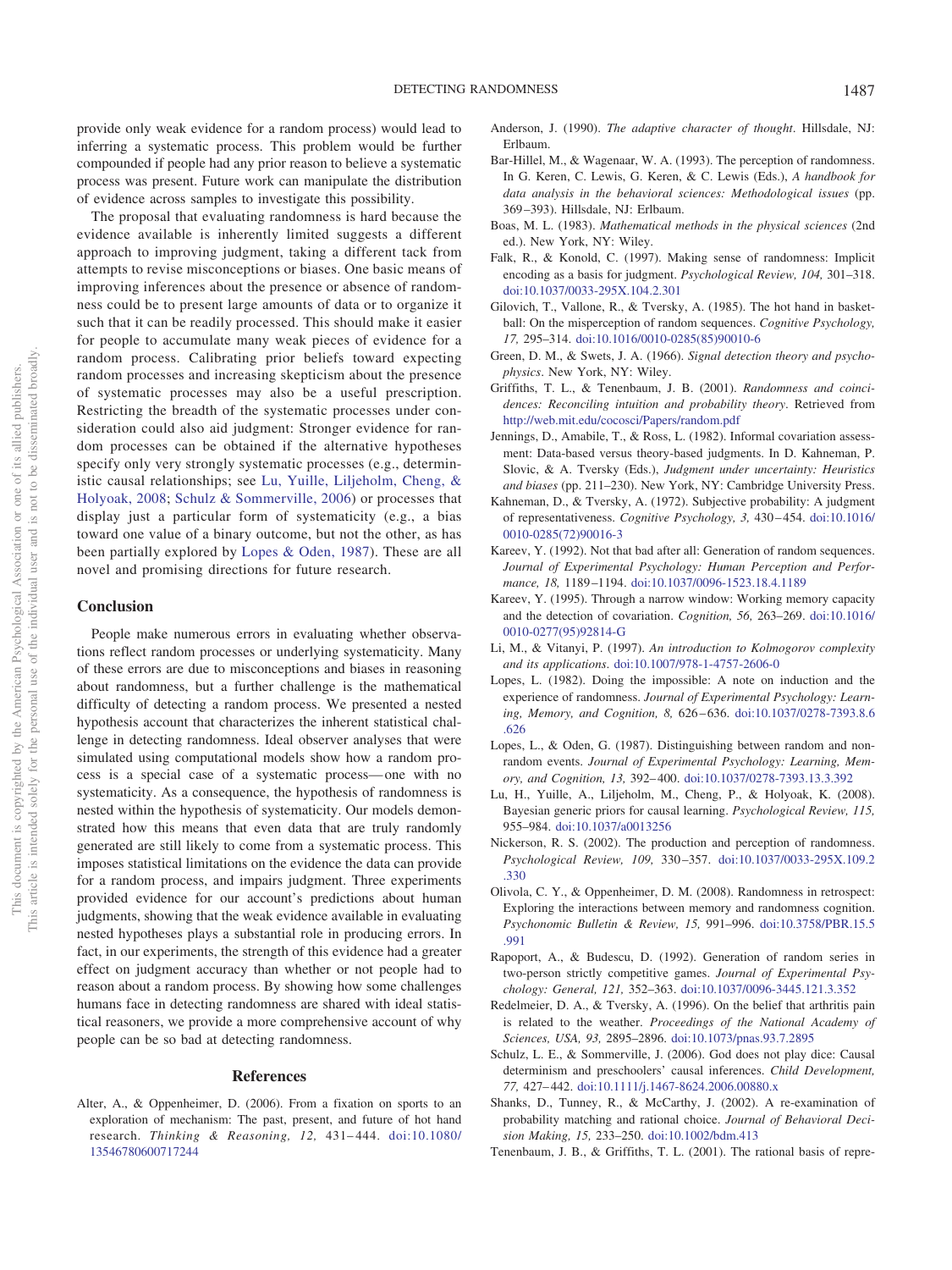provide only weak evidence for a random process) would lead to inferring a systematic process. This problem would be further compounded if people had any prior reason to believe a systematic process was present. Future work can manipulate the distribution of evidence across samples to investigate this possibility.

The proposal that evaluating randomness is hard because the evidence available is inherently limited suggests a different approach to improving judgment, taking a different tack from attempts to revise misconceptions or biases. One basic means of improving inferences about the presence or absence of randomness could be to present large amounts of data or to organize it such that it can be readily processed. This should make it easier for people to accumulate many weak pieces of evidence for a random process. Calibrating prior beliefs toward expecting random processes and increasing skepticism about the presence of systematic processes may also be a useful prescription. Restricting the breadth of the systematic processes under consideration could also aid judgment: Stronger evidence for random processes can be obtained if the alternative hypotheses specify only very strongly systematic processes (e.g., deterministic causal relationships; see [Lu, Yuille, Liljeholm, Cheng, &](#page-14-20) [Holyoak, 2008;](#page-14-20) [Schulz & Sommerville, 2006\)](#page-14-21) or processes that display just a particular form of systematicity (e.g., a bias toward one value of a binary outcome, but not the other, as has been partially explored by [Lopes & Oden, 1987\)](#page-14-3). These are all novel and promising directions for future research.

### **Conclusion**

People make numerous errors in evaluating whether observations reflect random processes or underlying systematicity. Many of these errors are due to misconceptions and biases in reasoning about randomness, but a further challenge is the mathematical difficulty of detecting a random process. We presented a nested hypothesis account that characterizes the inherent statistical challenge in detecting randomness. Ideal observer analyses that were simulated using computational models show how a random process is a special case of a systematic process— one with no systematicity. As a consequence, the hypothesis of randomness is nested within the hypothesis of systematicity. Our models demonstrated how this means that even data that are truly randomly generated are still likely to come from a systematic process. This imposes statistical limitations on the evidence the data can provide for a random process, and impairs judgment. Three experiments provided evidence for our account's predictions about human judgments, showing that the weak evidence available in evaluating nested hypotheses plays a substantial role in producing errors. In fact, in our experiments, the strength of this evidence had a greater effect on judgment accuracy than whether or not people had to reason about a random process. By showing how some challenges humans face in detecting randomness are shared with ideal statistical reasoners, we provide a more comprehensive account of why people can be so bad at detecting randomness.

#### **References**

<span id="page-14-7"></span>Alter, A., & Oppenheimer, D. (2006). From a fixation on sports to an exploration of mechanism: The past, present, and future of hot hand research. *Thinking & Reasoning, 12,* 431– 444. [doi:10.1080/](http://dx.doi.org/10.1080/13546780600717244) [13546780600717244](http://dx.doi.org/10.1080/13546780600717244)

- <span id="page-14-13"></span>Anderson, J. (1990). *The adaptive character of thought*. Hillsdale, NJ: Erlbaum.
- <span id="page-14-0"></span>Bar-Hillel, M., & Wagenaar, W. A. (1993). The perception of randomness. In G. Keren, C. Lewis, G. Keren, & C. Lewis (Eds.), *A handbook for data analysis in the behavioral sciences: Methodological issues* (pp. 369 –393). Hillsdale, NJ: Erlbaum.
- <span id="page-14-22"></span>Boas, M. L. (1983). *Mathematical methods in the physical sciences* (2nd ed.). New York, NY: Wiley.
- <span id="page-14-1"></span>Falk, R., & Konold, C. (1997). Making sense of randomness: Implicit encoding as a basis for judgment. *Psychological Review, 104,* 301–318. [doi:10.1037/0033-295X.104.2.301](http://dx.doi.org/10.1037/0033-295X.104.2.301)
- <span id="page-14-8"></span>Gilovich, T., Vallone, R., & Tversky, A. (1985). The hot hand in basketball: On the misperception of random sequences. *Cognitive Psychology, 17,* 295–314. [doi:10.1016/0010-0285\(85\)90010-6](http://dx.doi.org/10.1016/0010-0285%2885%2990010-6)
- <span id="page-14-16"></span>Green, D. M., & Swets, J. A. (1966). *Signal detection theory and psychophysics*. New York, NY: Wiley.
- <span id="page-14-14"></span>Griffiths, T. L., & Tenenbaum, J. B. (2001). *Randomness and coincidences: Reconciling intuition and probability theory*. Retrieved from <http://web.mit.edu/cocosci/Papers/random.pdf>
- <span id="page-14-18"></span>Jennings, D., Amabile, T., & Ross, L. (1982). Informal covariation assessment: Data-based versus theory-based judgments. In D. Kahneman, P. Slovic, & A. Tversky (Eds.), *Judgment under uncertainty: Heuristics and biases* (pp. 211–230). New York, NY: Cambridge University Press.
- <span id="page-14-6"></span>Kahneman, D., & Tversky, A. (1972). Subjective probability: A judgment of representativeness. *Cognitive Psychology, 3,* 430 – 454. [doi:10.1016/](http://dx.doi.org/10.1016/0010-0285%2872%2990016-3) [0010-0285\(72\)90016-3](http://dx.doi.org/10.1016/0010-0285%2872%2990016-3)
- <span id="page-14-9"></span>Kareev, Y. (1992). Not that bad after all: Generation of random sequences. *Journal of Experimental Psychology: Human Perception and Performance, 18,* 1189 –1194. [doi:10.1037/0096-1523.18.4.1189](http://dx.doi.org/10.1037/0096-1523.18.4.1189)
- <span id="page-14-10"></span>Kareev, Y. (1995). Through a narrow window: Working memory capacity and the detection of covariation. *Cognition, 56,* 263–269. [doi:10.1016/](http://dx.doi.org/10.1016/0010-0277%2895%2992814-G) [0010-0277\(95\)92814-G](http://dx.doi.org/10.1016/0010-0277%2895%2992814-G)
- <span id="page-14-12"></span>Li, M., & Vitanyi, P. (1997). *An introduction to Kolmogorov complexity and its applications*. [doi:10.1007/978-1-4757-2606-0](http://dx.doi.org/10.1007/978-1-4757-2606-0)
- <span id="page-14-11"></span>Lopes, L. (1982). Doing the impossible: A note on induction and the experience of randomness. *Journal of Experimental Psychology: Learning, Memory, and Cognition, 8,* 626 – 636. [doi:10.1037/0278-7393.8.6](http://dx.doi.org/10.1037/0278-7393.8.6.626) [.626](http://dx.doi.org/10.1037/0278-7393.8.6.626)
- <span id="page-14-3"></span>Lopes, L., & Oden, G. (1987). Distinguishing between random and nonrandom events. *Journal of Experimental Psychology: Learning, Memory, and Cognition, 13,* 392– 400. [doi:10.1037/0278-7393.13.3.392](http://dx.doi.org/10.1037/0278-7393.13.3.392)
- <span id="page-14-20"></span>Lu, H., Yuille, A., Liljeholm, M., Cheng, P., & Holyoak, K. (2008). Bayesian generic priors for causal learning. *Psychological Review, 115,* 955–984. [doi:10.1037/a0013256](http://dx.doi.org/10.1037/a0013256)
- <span id="page-14-2"></span>Nickerson, R. S. (2002). The production and perception of randomness. *Psychological Review, 109,* 330 –357. [doi:10.1037/0033-295X.109.2](http://dx.doi.org/10.1037/0033-295X.109.2.330) [.330](http://dx.doi.org/10.1037/0033-295X.109.2.330)
- <span id="page-14-5"></span>Olivola, C. Y., & Oppenheimer, D. M. (2008). Randomness in retrospect: Exploring the interactions between memory and randomness cognition. *Psychonomic Bulletin & Review, 15,* 991–996. [doi:10.3758/PBR.15.5](http://dx.doi.org/10.3758/PBR.15.5.991) [.991](http://dx.doi.org/10.3758/PBR.15.5.991)
- <span id="page-14-4"></span>Rapoport, A., & Budescu, D. (1992). Generation of random series in two-person strictly competitive games. *Journal of Experimental Psychology: General, 121,* 352–363. [doi:10.1037/0096-3445.121.3.352](http://dx.doi.org/10.1037/0096-3445.121.3.352)
- <span id="page-14-19"></span>Redelmeier, D. A., & Tversky, A. (1996). On the belief that arthritis pain is related to the weather. *Proceedings of the National Academy of Sciences, USA, 93,* 2895–2896. [doi:10.1073/pnas.93.7.2895](http://dx.doi.org/10.1073/pnas.93.7.2895)
- <span id="page-14-21"></span>Schulz, L. E., & Sommerville, J. (2006). God does not play dice: Causal determinism and preschoolers' causal inferences. *Child Development, 77,* 427– 442. [doi:10.1111/j.1467-8624.2006.00880.x](http://dx.doi.org/10.1111/j.1467-8624.2006.00880.x)
- <span id="page-14-17"></span>Shanks, D., Tunney, R., & McCarthy, J. (2002). A re-examination of probability matching and rational choice. *Journal of Behavioral Decision Making, 15,* 233–250. [doi:10.1002/bdm.413](http://dx.doi.org/10.1002/bdm.413)
- <span id="page-14-15"></span>Tenenbaum, J. B., & Griffiths, T. L. (2001). The rational basis of repre-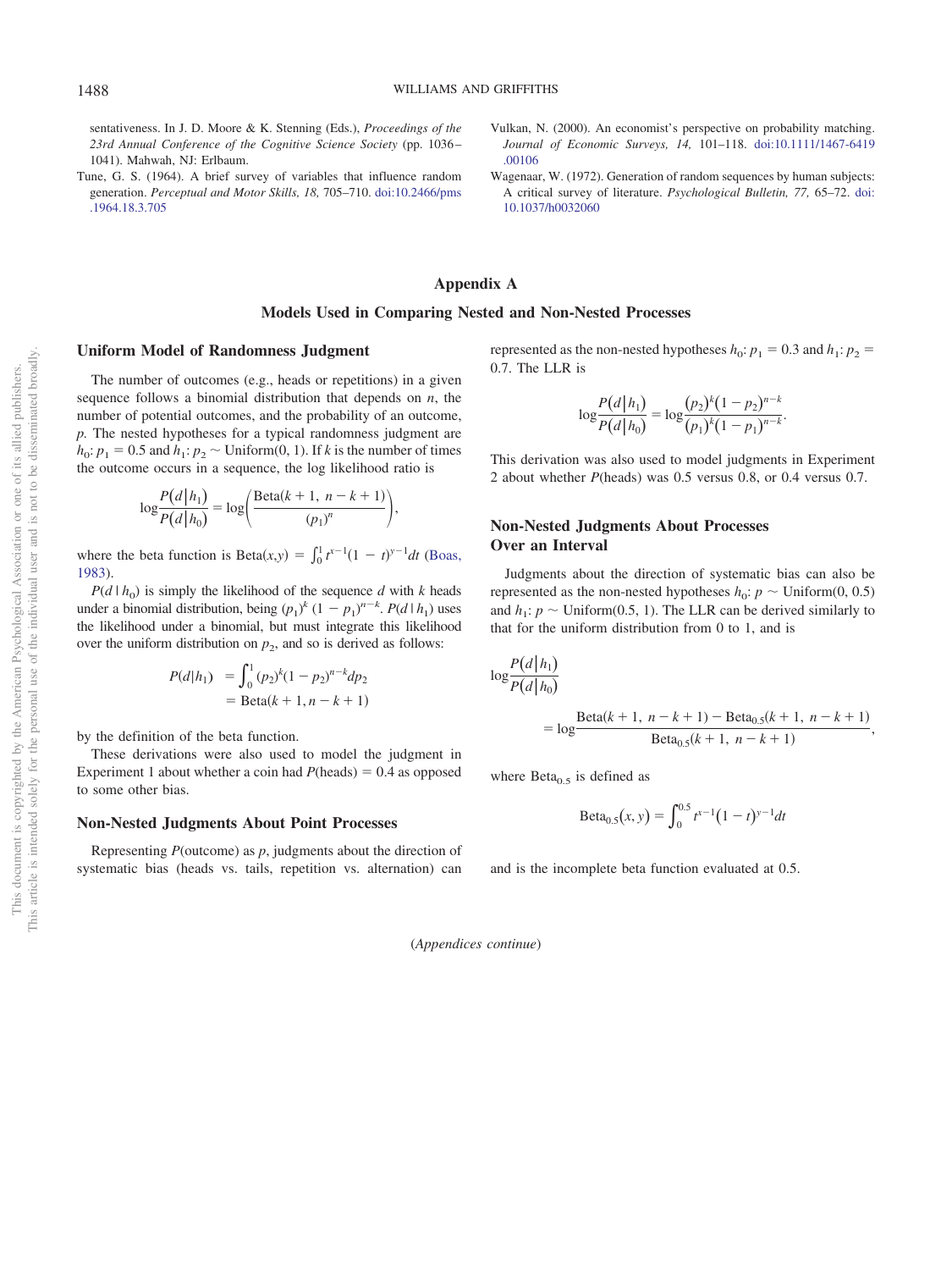sentativeness. In J. D. Moore & K. Stenning (Eds.), *Proceedings of the 23rd Annual Conference of the Cognitive Science Society* (pp. 1036 – 1041). Mahwah, NJ: Erlbaum.

- <span id="page-15-1"></span>Tune, G. S. (1964). A brief survey of variables that influence random generation. *Perceptual and Motor Skills, 18,* 705–710. [doi:10.2466/pms](http://dx.doi.org/10.2466/pms.1964.18.3.705) [.1964.18.3.705](http://dx.doi.org/10.2466/pms.1964.18.3.705)
- <span id="page-15-2"></span>Vulkan, N. (2000). An economist's perspective on probability matching. *Journal of Economic Surveys, 14,* 101–118. [doi:10.1111/1467-6419](http://dx.doi.org/10.1111/1467-6419.00106) [.00106](http://dx.doi.org/10.1111/1467-6419.00106)
- <span id="page-15-0"></span>Wagenaar, W. (1972). Generation of random sequences by human subjects: A critical survey of literature. *Psychological Bulletin, 77,* 65–72. [doi:](http://dx.doi.org/10.1037/h0032060) [10.1037/h0032060](http://dx.doi.org/10.1037/h0032060)

# **Appendix A**

### **Models Used in Comparing Nested and Non-Nested Processes**

### **Uniform Model of Randomness Judgment**

The number of outcomes (e.g., heads or repetitions) in a given sequence follows a binomial distribution that depends on *n*, the number of potential outcomes, and the probability of an outcome, *p.* The nested hypotheses for a typical randomness judgment are  $h_0: p_1 = 0.5$  and  $h_1: p_2 \sim$  Uniform(0, 1). If *k* is the number of times the outcome occurs in a sequence, the log likelihood ratio is

$$
\log \frac{P(d|h_1)}{P(d|h_0)} = \log \bigg(\frac{\text{Beta}(k+1, n-k+1)}{(p_1)^n}\bigg),
$$

where the beta function is Beta $(x,y) = \int_0^1 t^{x-1}(1-t)^{y-1}dt$  [\(Boas,](#page-14-22) [1983\)](#page-14-22).

 $P(d | h_0)$  is simply the likelihood of the sequence *d* with *k* heads under a binomial distribution, being  $(p_1)^k (1 - p_1)^{n-k}$ .  $P(d | h_1)$  uses the likelihood under a binomial, but must integrate this likelihood over the uniform distribution on  $p_2$ , and so is derived as follows:

$$
P(d|h_1) = \int_0^1 (p_2)^k (1 - p_2)^{n-k} dp_2
$$
  
= Beta(k + 1, n - k + 1)

by the definition of the beta function.

These derivations were also used to model the judgment in Experiment 1 about whether a coin had  $P(\text{heads}) = 0.4$  as opposed to some other bias.

#### **Non-Nested Judgments About Point Processes**

Representing *P*(outcome) as *p*, judgments about the direction of systematic bias (heads vs. tails, repetition vs. alternation) can

represented as the non-nested hypotheses  $h_0: p_1 = 0.3$  and  $h_1: p_2 =$ 0.7. The LLR is

$$
\log \frac{P(d|h_1)}{P(d|h_0)} = \log \frac{(p_2)^k (1-p_2)^{n-k}}{(p_1)^k (1-p_1)^{n-k}}.
$$

This derivation was also used to model judgments in Experiment 2 about whether *P*(heads) was 0.5 versus 0.8, or 0.4 versus 0.7.

# **Non-Nested Judgments About Processes Over an Interval**

Judgments about the direction of systematic bias can also be represented as the non-nested hypotheses  $h_0$ :  $p \sim$  Uniform(0, 0.5) and  $h_1$ :  $p \sim$  Uniform(0.5, 1). The LLR can be derived similarly to that for the uniform distribution from 0 to 1, and is

$$
\log \frac{P(d|h_1)}{P(d|h_0)}
$$
  
= 
$$
\log \frac{\text{Beta}(k+1, n-k+1) - \text{Beta}_{0.5}(k+1, n-k+1)}{\text{Beta}_{0.5}(k+1, n-k+1)},
$$

where  $Beta_{0.5}$  is defined as

$$
Beta_{0.5}(x, y) = \int_0^{0.5} t^{x-1} (1-t)^{y-1} dt
$$

and is the incomplete beta function evaluated at 0.5.

(*Appendices continue*)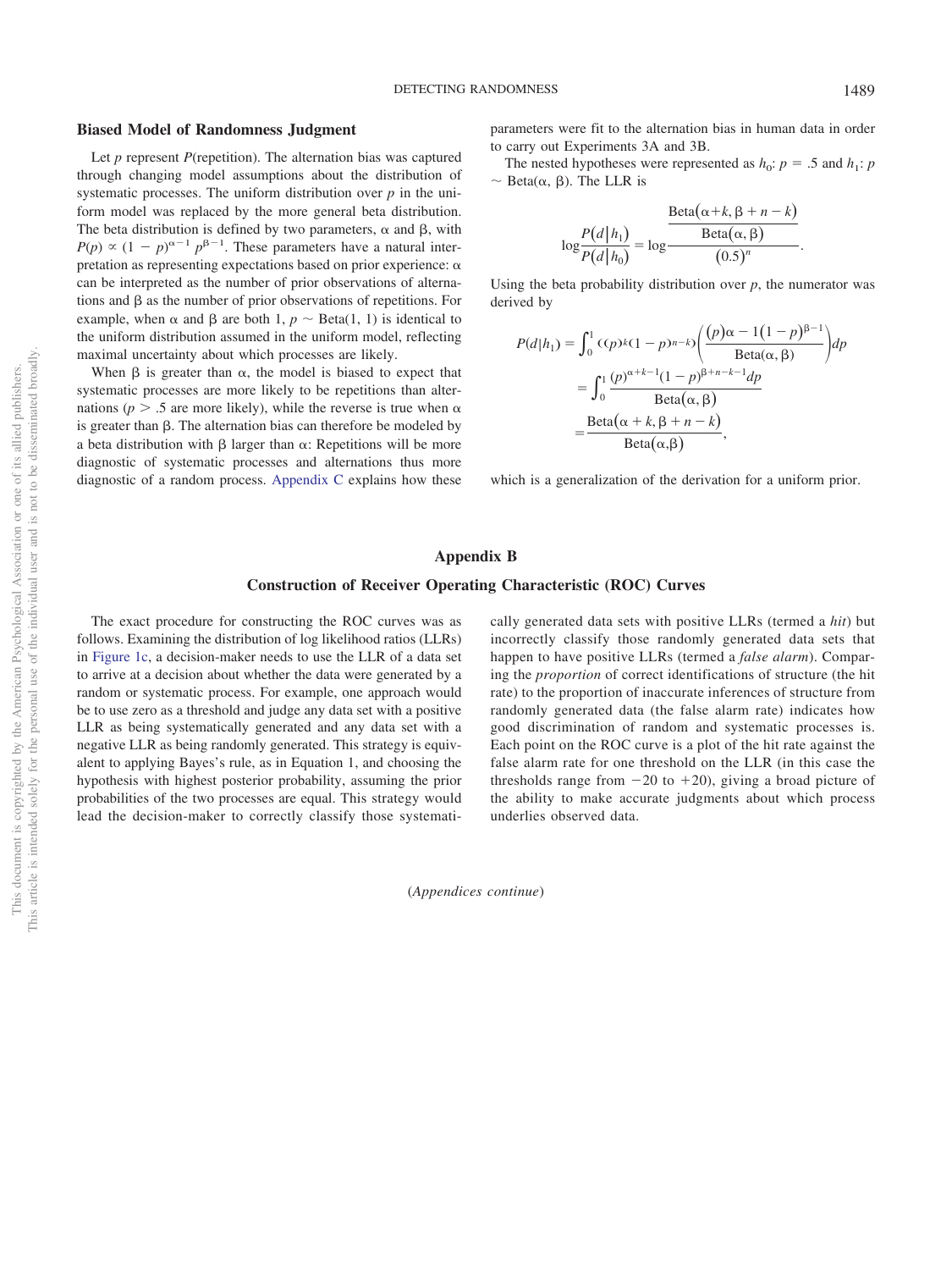### **Biased Model of Randomness Judgment**

Let  $p$  represent  $P$ (repetition). The alternation bias was captured through changing model assumptions about the distribution of systematic processes. The uniform distribution over *p* in the uniform model was replaced by the more general beta distribution. The beta distribution is defined by two parameters,  $\alpha$  and  $\beta$ , with  $P(p) \propto (1 - p)^{\alpha - 1} p^{\beta - 1}$ . These parameters have a natural interpretation as representing expectations based on prior experience:  $\alpha$ can be interpreted as the number of prior observations of alternations and  $\beta$  as the number of prior observations of repetitions. For example, when  $\alpha$  and  $\beta$  are both 1,  $p \sim \text{Beta}(1, 1)$  is identical to the uniform distribution assumed in the uniform model, reflecting maximal uncertainty about which processes are likely.

When  $\beta$  is greater than  $\alpha$ , the model is biased to expect that systematic processes are more likely to be repetitions than alternations ( $p > .5$  are more likely), while the reverse is true when  $\alpha$ is greater than  $\beta$ . The alternation bias can therefore be modeled by a beta distribution with  $\beta$  larger than  $\alpha$ : Repetitions will be more diagnostic of systematic processes and alternations thus more diagnostic of a random process. Appendix C explains how these parameters were fit to the alternation bias in human data in order to carry out Experiments 3A and 3B.

The nested hypotheses were represented as  $h_0$ :  $p = .5$  and  $h_1$ : *p*  $\sim$  Beta( $\alpha$ ,  $\beta$ ). The LLR is

$$
\log \frac{P(d|h_1)}{P(d|h_0)} = \log \frac{\frac{\text{Beta}(\alpha+k, \beta+n-k)}{\text{Beta}(\alpha, \beta)}}{(0.5)^n}.
$$

Using the beta probability distribution over  $p$ , the numerator was derived by

$$
P(d|h_1) = \int_0^1 \left( \frac{p\alpha - 1(1-p)^{\beta - 1}}{p\alpha - 1} \right) dp
$$
  
= 
$$
\int_0^1 \frac{(p)^{\alpha + k - 1}(1-p)^{\beta + n - k - 1} dp}{\text{Beta}(\alpha, \beta)}
$$
  
= 
$$
\frac{\text{Beta}(\alpha + k, \beta + n - k)}{\text{Beta}(\alpha, \beta)},
$$

which is a generalization of the derivation for a uniform prior.

# **Appendix B**

### **Construction of Receiver Operating Characteristic (ROC) Curves**

The exact procedure for constructing the ROC curves was as follows. Examining the distribution of log likelihood ratios (LLRs) in [Figure 1c,](#page-2-0) a decision-maker needs to use the LLR of a data set to arrive at a decision about whether the data were generated by a random or systematic process. For example, one approach would be to use zero as a threshold and judge any data set with a positive LLR as being systematically generated and any data set with a negative LLR as being randomly generated. This strategy is equivalent to applying Bayes's rule, as in Equation 1, and choosing the hypothesis with highest posterior probability, assuming the prior probabilities of the two processes are equal. This strategy would lead the decision-maker to correctly classify those systematically generated data sets with positive LLRs (termed a *hit*) but incorrectly classify those randomly generated data sets that happen to have positive LLRs (termed a *false alarm*). Comparing the *proportion* of correct identifications of structure (the hit rate) to the proportion of inaccurate inferences of structure from randomly generated data (the false alarm rate) indicates how good discrimination of random and systematic processes is. Each point on the ROC curve is a plot of the hit rate against the false alarm rate for one threshold on the LLR (in this case the thresholds range from  $-20$  to  $+20$ ), giving a broad picture of the ability to make accurate judgments about which process underlies observed data.

(*Appendices continue*)